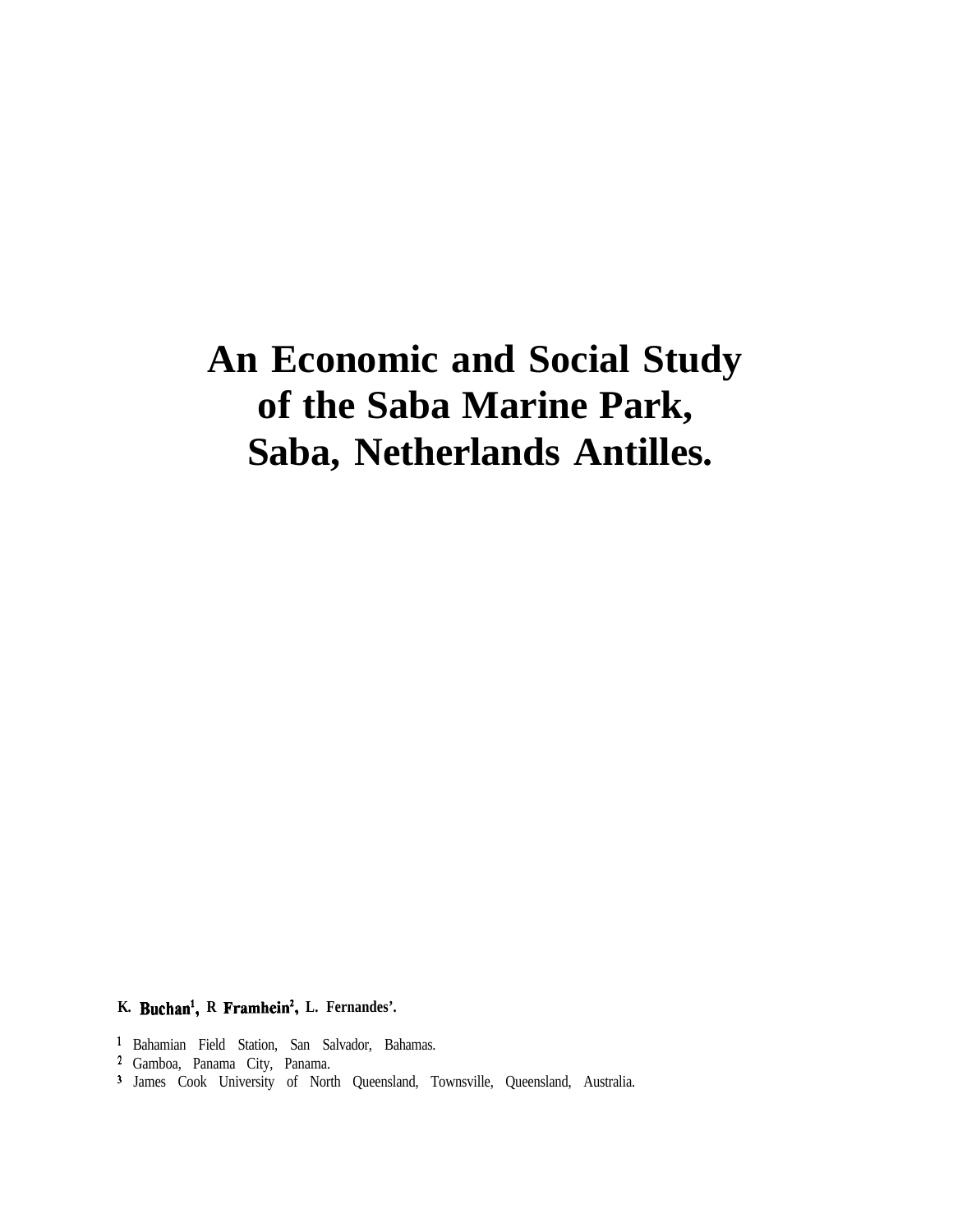# **An Economic and Social Study of the Saba Marine Park, Saba, Netherlands Antilles.**

**K. Buchan', R Framhein', L. Fernandes'.**

- ' Bahamian Field Station, San Salvador, Bahamas.
- ' Gamboa, Panama City, Panama.
- 3 James Cook University of North Queensland, Townsville, Queensland, Australia.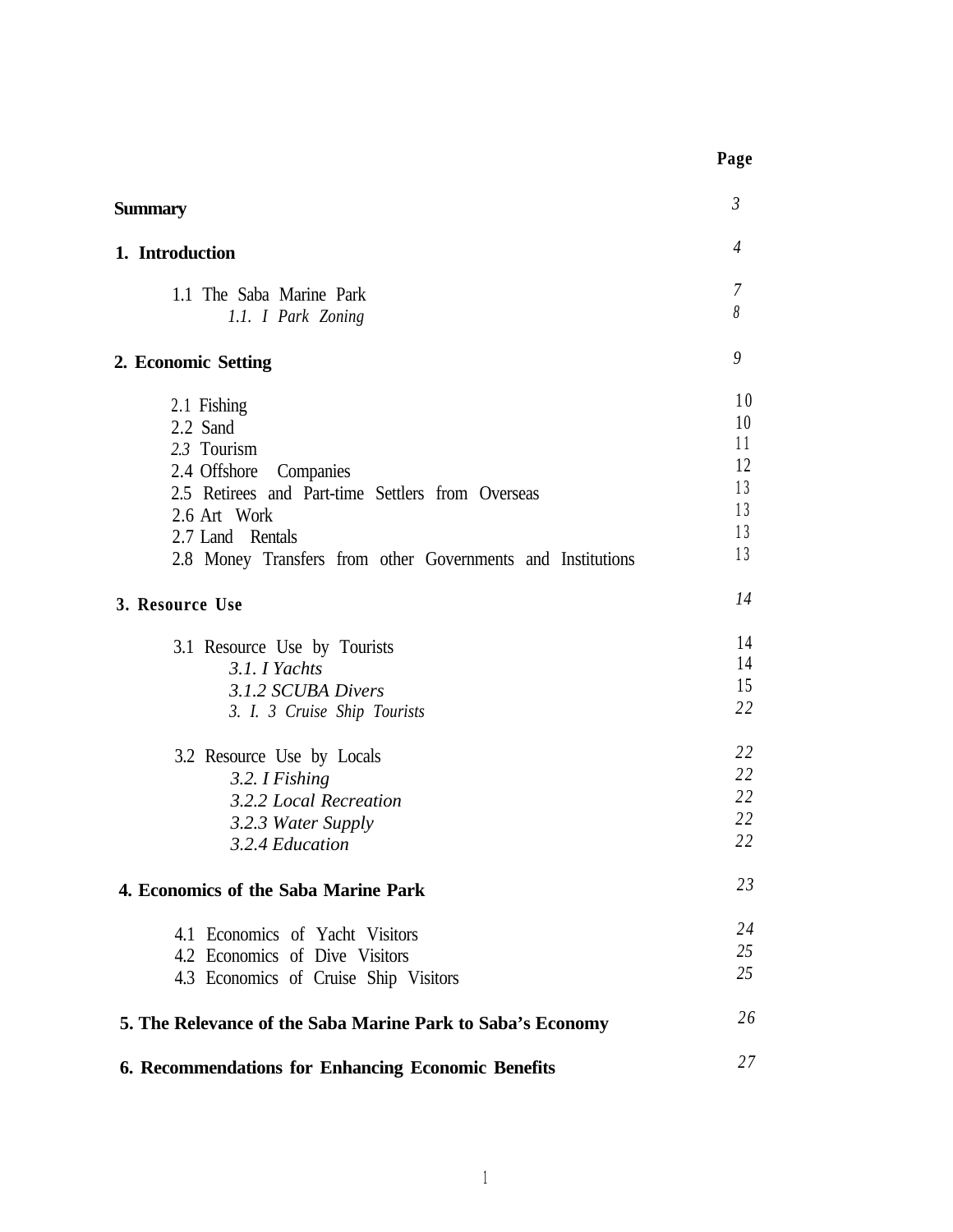| Summary                                                                                                                                                                                                                     | $\mathfrak{Z}$                               |
|-----------------------------------------------------------------------------------------------------------------------------------------------------------------------------------------------------------------------------|----------------------------------------------|
| 1. Introduction                                                                                                                                                                                                             | $\overline{4}$                               |
| 1.1 The Saba Marine Park<br>1.1. I Park Zoning                                                                                                                                                                              | $\overline{7}$<br>8                          |
| 2. Economic Setting                                                                                                                                                                                                         | 9                                            |
| 2.1 Fishing<br>2.2 Sand<br>2.3 Tourism<br>2.4 Offshore<br>Companies<br>2.5 Retirees and Part-time Settlers from Overseas<br>2.6 Art Work<br>2.7 Land Rentals<br>2.8 Money Transfers from other Governments and Institutions | 10<br>10<br>11<br>12<br>13<br>13<br>13<br>13 |
| 3. Resource Use                                                                                                                                                                                                             | 14                                           |
| 3.1 Resource Use by Tourists<br>3.1. I Yachts<br>3.1.2 SCUBA Divers<br>3. I. 3 Cruise Ship Tourists                                                                                                                         | 14<br>14<br>15<br>22                         |
| 3.2 Resource Use by Locals<br>3.2. I Fishing<br>3.2.2 Local Recreation<br>3.2.3 Water Supply<br>3.2.4 Education                                                                                                             | 22<br>22<br>22<br>22<br>22                   |
| 4. Economics of the Saba Marine Park                                                                                                                                                                                        | 23                                           |
| 4.1 Economics of Yacht Visitors<br>4.2 Economics of Dive Visitors<br>4.3 Economics of Cruise Ship Visitors                                                                                                                  | 24<br>25<br>25                               |
| 5. The Relevance of the Saba Marine Park to Saba's Economy                                                                                                                                                                  | 26                                           |
| 6. Recommendations for Enhancing Economic Benefits                                                                                                                                                                          | 27                                           |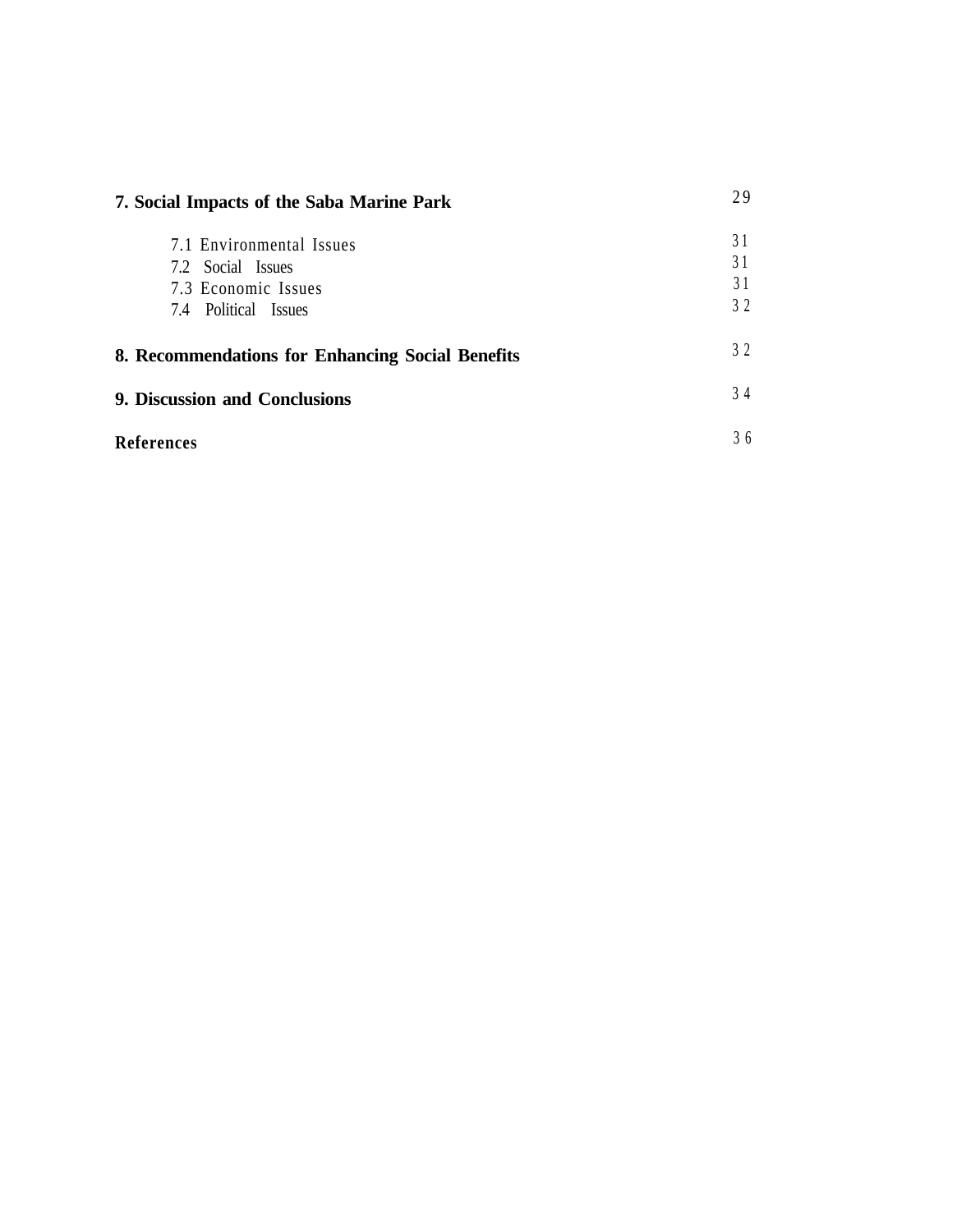| 7. Social Impacts of the Saba Marine Park                                |                      |
|--------------------------------------------------------------------------|----------------------|
| 7.1 Environmental Issues<br>7.2 Social Issues<br>7.3 Economic Issues     | 31<br>31<br>31<br>32 |
| 7.4 Political Issues<br>8. Recommendations for Enhancing Social Benefits | 32                   |
| 9. Discussion and Conclusions                                            | 34                   |
| <b>References</b>                                                        | 36                   |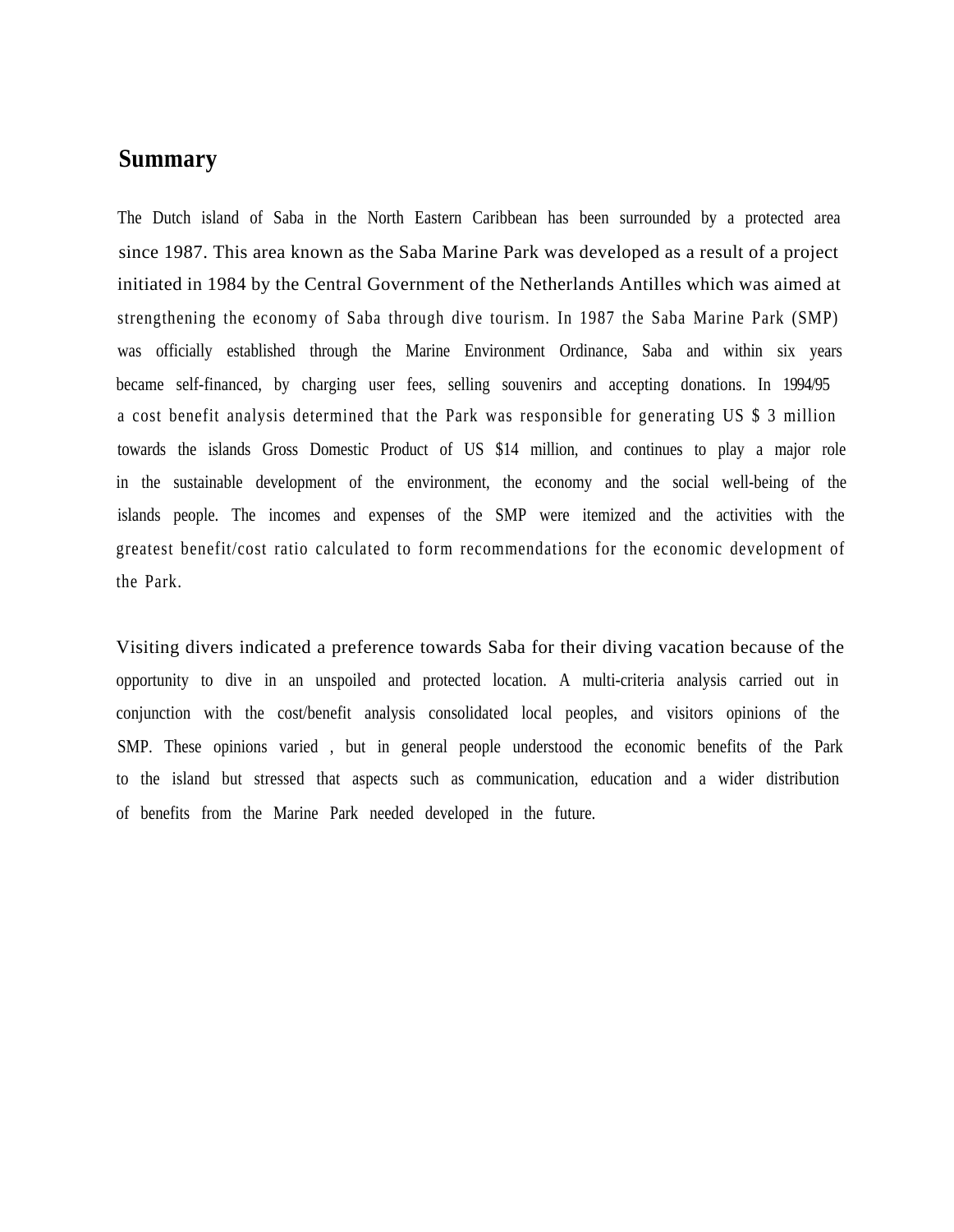### **Summary**

The Dutch island of Saba in the North Eastern Caribbean has been surrounded by a protected area since 1987. This area known as the Saba Marine Park was developed as a result of a project initiated in 1984 by the Central Government of the Netherlands Antilles which was aimed at strengthening the economy of Saba through dive tourism. In 1987 the Saba Marine Park (SMP) was officially established through the Marine Environment Ordinance, Saba and within six years became self-financed, by charging user fees, selling souvenirs and accepting donations. In 1994/95 a cost benefit analysis determined that the Park was responsible for generating US \$ 3 million towards the islands Gross Domestic Product of US \$14 million, and continues to play a major role in the sustainable development of the environment, the economy and the social well-being of the islands people. The incomes and expenses of the SMP were itemized and the activities with the greatest benefit/cost ratio calculated to form recommendations for the economic development of the Park.

Visiting divers indicated a preference towards Saba for their diving vacation because of the opportunity to dive in an unspoiled and protected location. A multi-criteria analysis carried out in conjunction with the cost/benefit analysis consolidated local peoples, and visitors opinions of the SMP. These opinions varied , but in general people understood the economic benefits of the Park to the island but stressed that aspects such as communication, education and a wider distribution of benefits from the Marine Park needed developed in the future.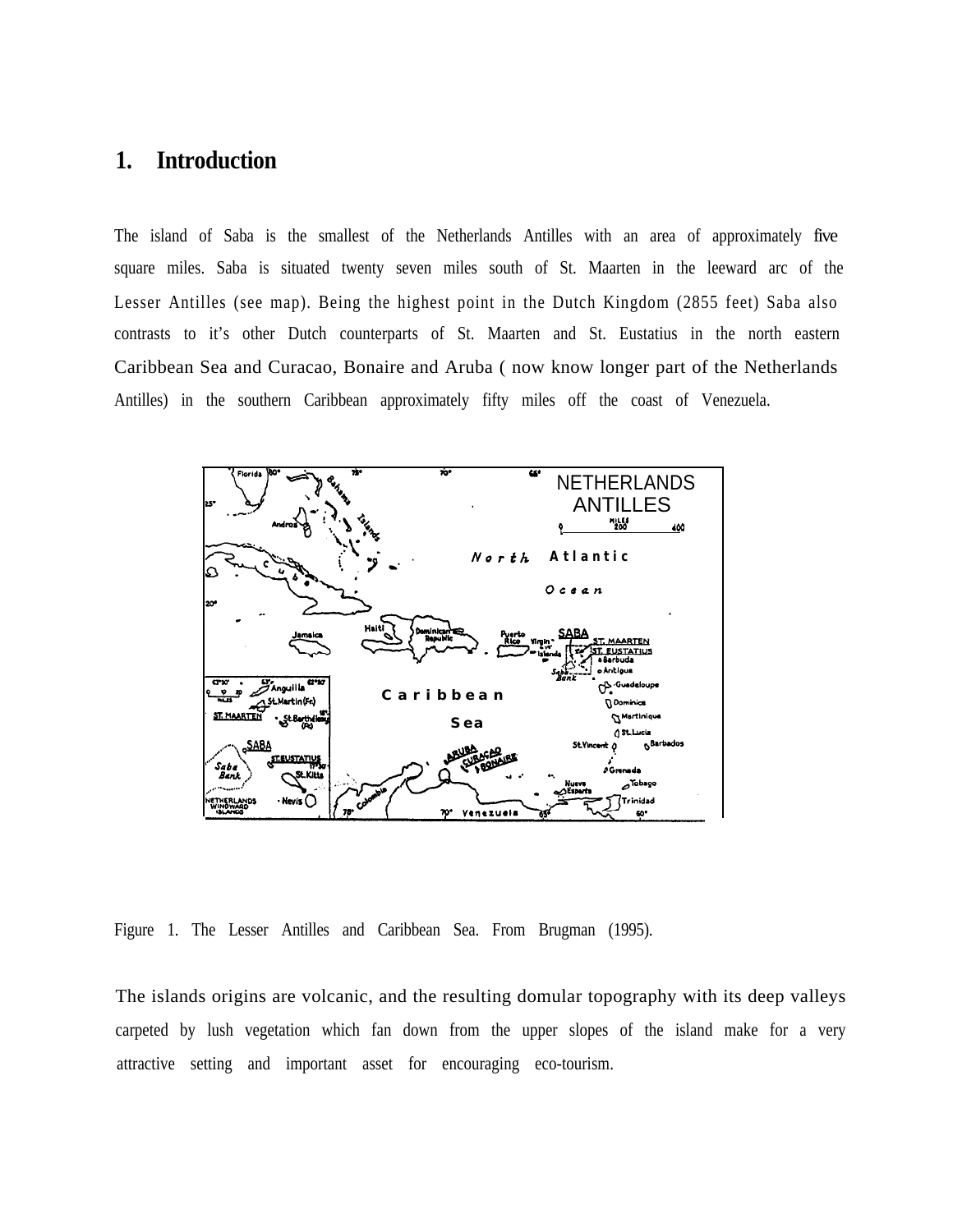# **1. Introduction**

The island of Saba is the smallest of the Netherlands Antilles with an area of approximately five square miles. Saba is situated twenty seven miles south of St. Maarten in the leeward arc of the Lesser Antilles (see map). Being the highest point in the Dutch Kingdom (2855 feet) Saba also contrasts to it's other Dutch counterparts of St. Maarten and St. Eustatius in the north eastern Caribbean Sea and Curacao, Bonaire and Aruba ( now know longer part of the Netherlands Antilles) in the southern Caribbean approximately fifty miles off the coast of Venezuela.



Figure 1. The Lesser Antilles and Caribbean Sea. From Brugman (1995).

The islands origins are volcanic, and the resulting domular topography with its deep valleys carpeted by lush vegetation which fan down from the upper slopes of the island make for a very attractive setting and important asset for encouraging eco-tourism.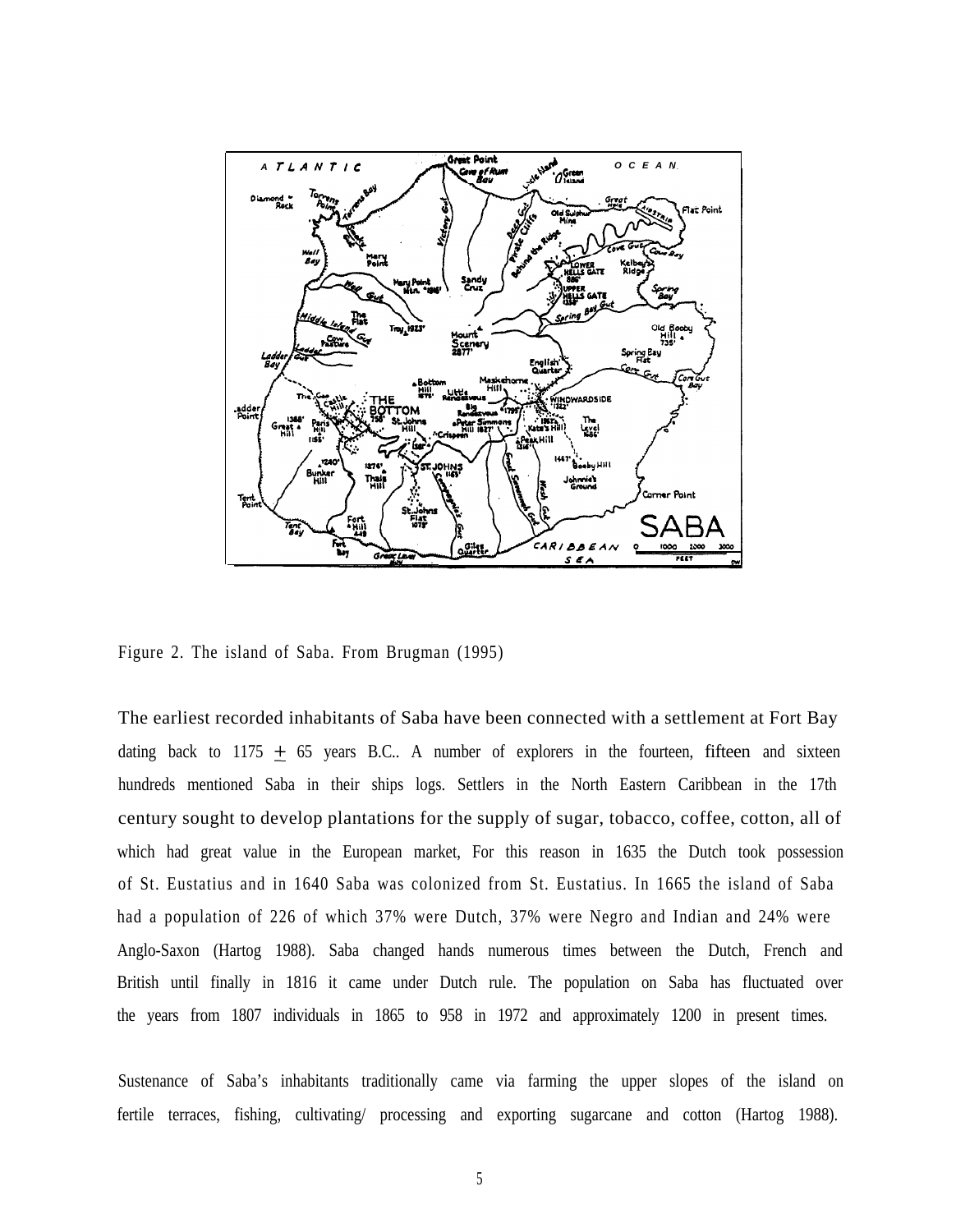

Figure 2. The island of Saba. From Brugman (1995)

The earliest recorded inhabitants of Saba have been connected with a settlement at Fort Bay dating back to 1175  $\pm$  65 years B.C.. A number of explorers in the fourteen, fifteen and sixteen hundreds mentioned Saba in their ships logs. Settlers in the North Eastern Caribbean in the 17th century sought to develop plantations for the supply of sugar, tobacco, coffee, cotton, all of which had great value in the European market, For this reason in 1635 the Dutch took possession of St. Eustatius and in 1640 Saba was colonized from St. Eustatius. In 1665 the island of Saba had a population of 226 of which 37% were Dutch, 37% were Negro and Indian and 24% were Anglo-Saxon (Hartog 1988). Saba changed hands numerous times between the Dutch, French and British until finally in 1816 it came under Dutch rule. The population on Saba has fluctuated over the years from 1807 individuals in 1865 to 958 in 1972 and approximately 1200 in present times.

Sustenance of Saba's inhabitants traditionally came via farming the upper slopes of the island on fertile terraces, fishing, cultivating/ processing and exporting sugarcane and cotton (Hartog 1988).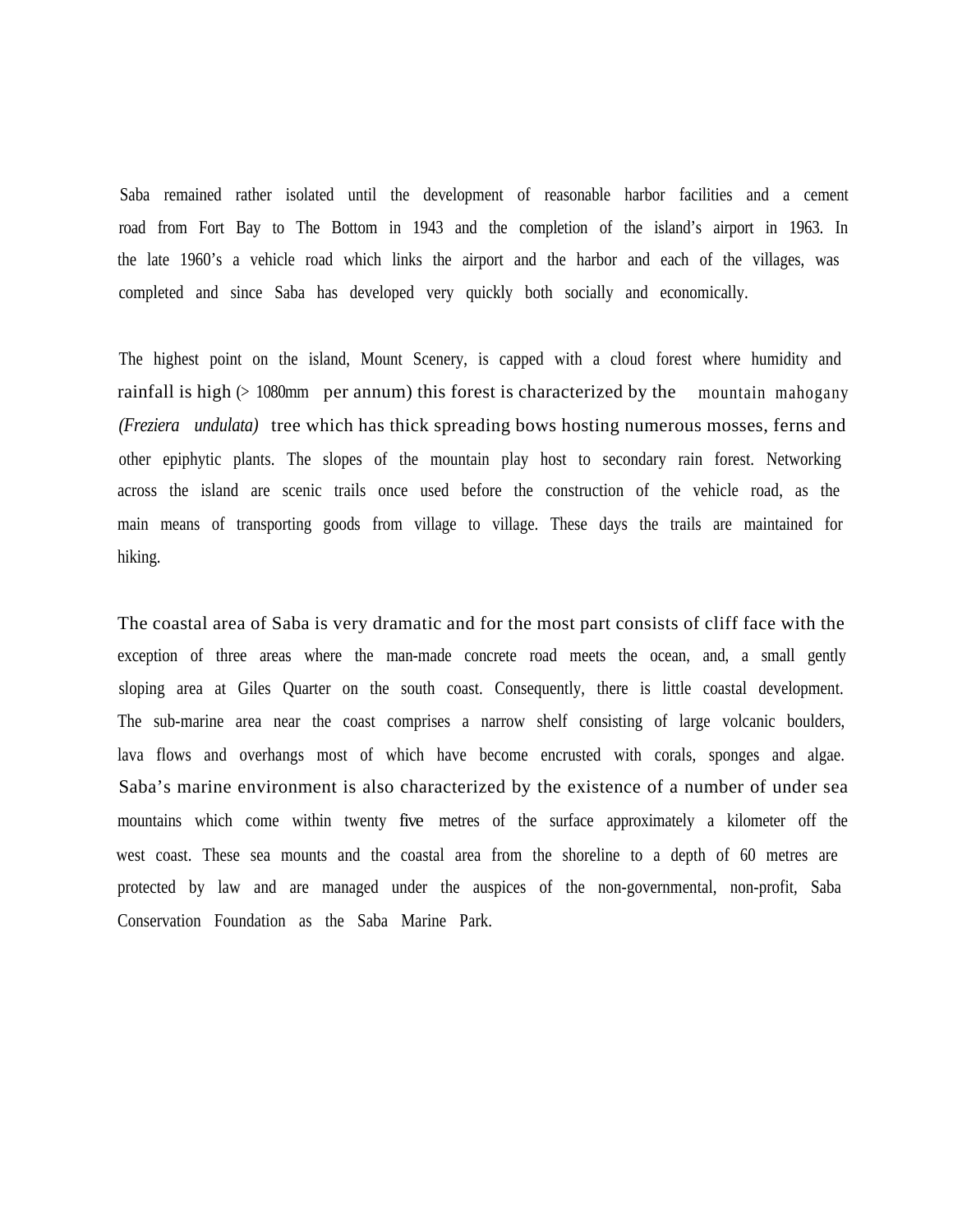Saba remained rather isolated until the development of reasonable harbor facilities and a cement road from Fort Bay to The Bottom in 1943 and the completion of the island's airport in 1963. In the late 1960's a vehicle road which links the airport and the harbor and each of the villages, was completed and since Saba has developed very quickly both socially and economically.

The highest point on the island, Mount Scenery, is capped with a cloud forest where humidity and rainfall is high (> 1080mm per annum) this forest is characterized by the mountain mahogany *(Freziera undulata)* tree which has thick spreading bows hosting numerous mosses, ferns and other epiphytic plants. The slopes of the mountain play host to secondary rain forest. Networking across the island are scenic trails once used before the construction of the vehicle road, as the main means of transporting goods from village to village. These days the trails are maintained for hiking.

The coastal area of Saba is very dramatic and for the most part consists of cliff face with the exception of three areas where the man-made concrete road meets the ocean, and, a small gently sloping area at Giles Quarter on the south coast. Consequently, there is little coastal development. The sub-marine area near the coast comprises a narrow shelf consisting of large volcanic boulders, lava flows and overhangs most of which have become encrusted with corals, sponges and algae. Saba's marine environment is also characterized by the existence of a number of under sea mountains which come within twenty five metres of the surface approximately a kilometer off the west coast. These sea mounts and the coastal area from the shoreline to a depth of 60 metres are protected by law and are managed under the auspices of the non-governmental, non-profit, Saba Conservation Foundation as the Saba Marine Park.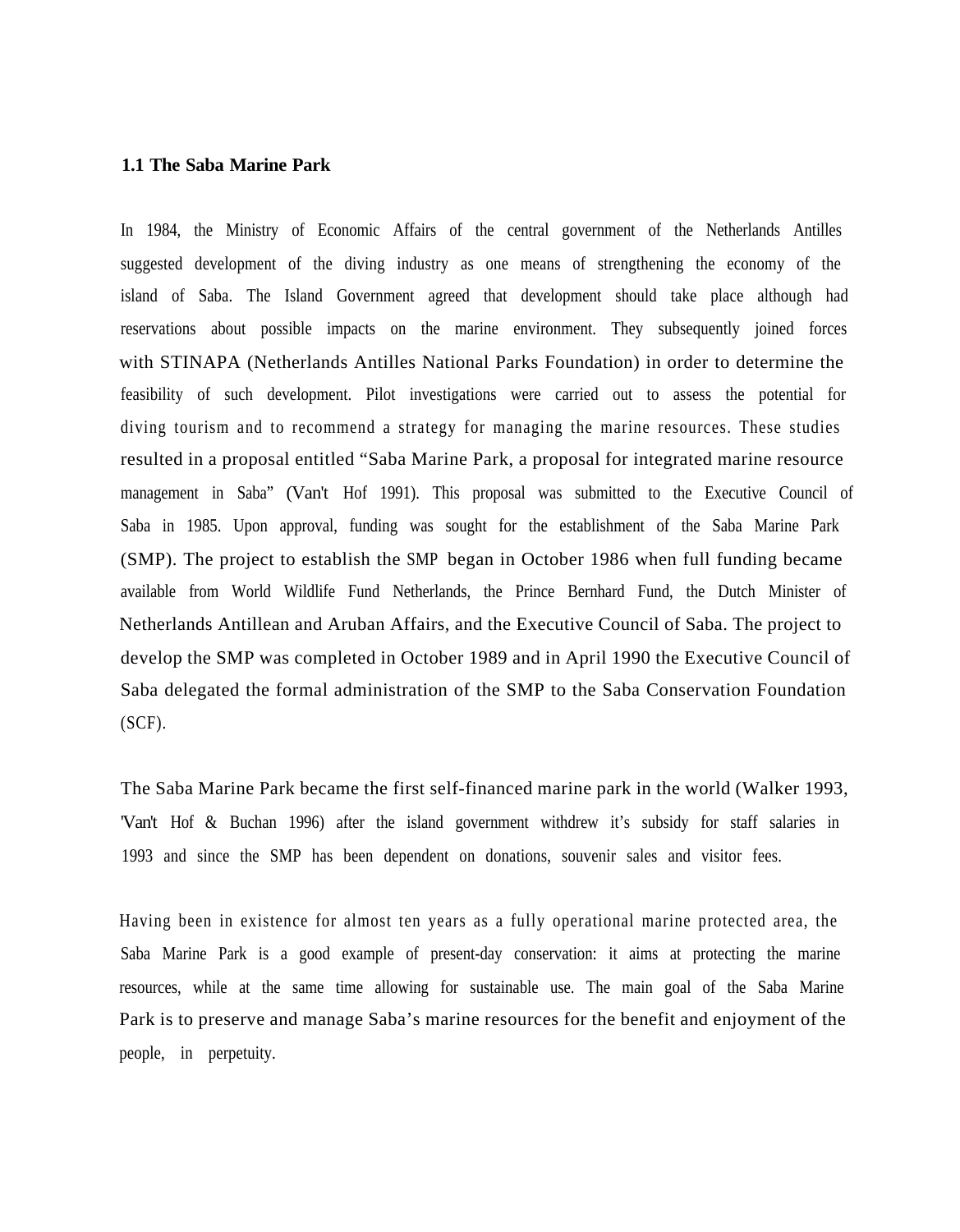#### **1.1 The Saba Marine Park**

In 1984, the Ministry of Economic Affairs of the central government of the Netherlands Antilles suggested development of the diving industry as one means of strengthening the economy of the island of Saba. The Island Government agreed that development should take place although had reservations about possible impacts on the marine environment. They subsequently joined forces with STINAPA (Netherlands Antilles National Parks Foundation) in order to determine the feasibility of such development. Pilot investigations were carried out to assess the potential for diving tourism and to recommend a strategy for managing the marine resources. These studies resulted in a proposal entitled "Saba Marine Park, a proposal for integrated marine resource management in Saba" (Van't Hof 1991). This proposal was submitted to the Executive Council of Saba in 1985. Upon approval, funding was sought for the establishment of the Saba Marine Park (SMP). The project to establish the SMP began in October 1986 when full funding became available from World Wildlife Fund Netherlands, the Prince Bernhard Fund, the Dutch Minister of Netherlands Antillean and Aruban Affairs, and the Executive Council of Saba. The project to develop the SMP was completed in October 1989 and in April 1990 the Executive Council of Saba delegated the formal administration of the SMP to the Saba Conservation Foundation  $(SCF)$ .

The Saba Marine Park became the first self-financed marine park in the world (Walker 1993, 'Van't Hof & Buchan 1996) after the island government withdrew it's subsidy for staff salaries in 1993 and since the SMP has been dependent on donations, souvenir sales and visitor fees.

Having been in existence for almost ten years as a fully operational marine protected area, the Saba Marine Park is a good example of present-day conservation: it aims at protecting the marine resources, while at the same time allowing for sustainable use. The main goal of the Saba Marine Park is to preserve and manage Saba's marine resources for the benefit and enjoyment of the people, in perpetuity.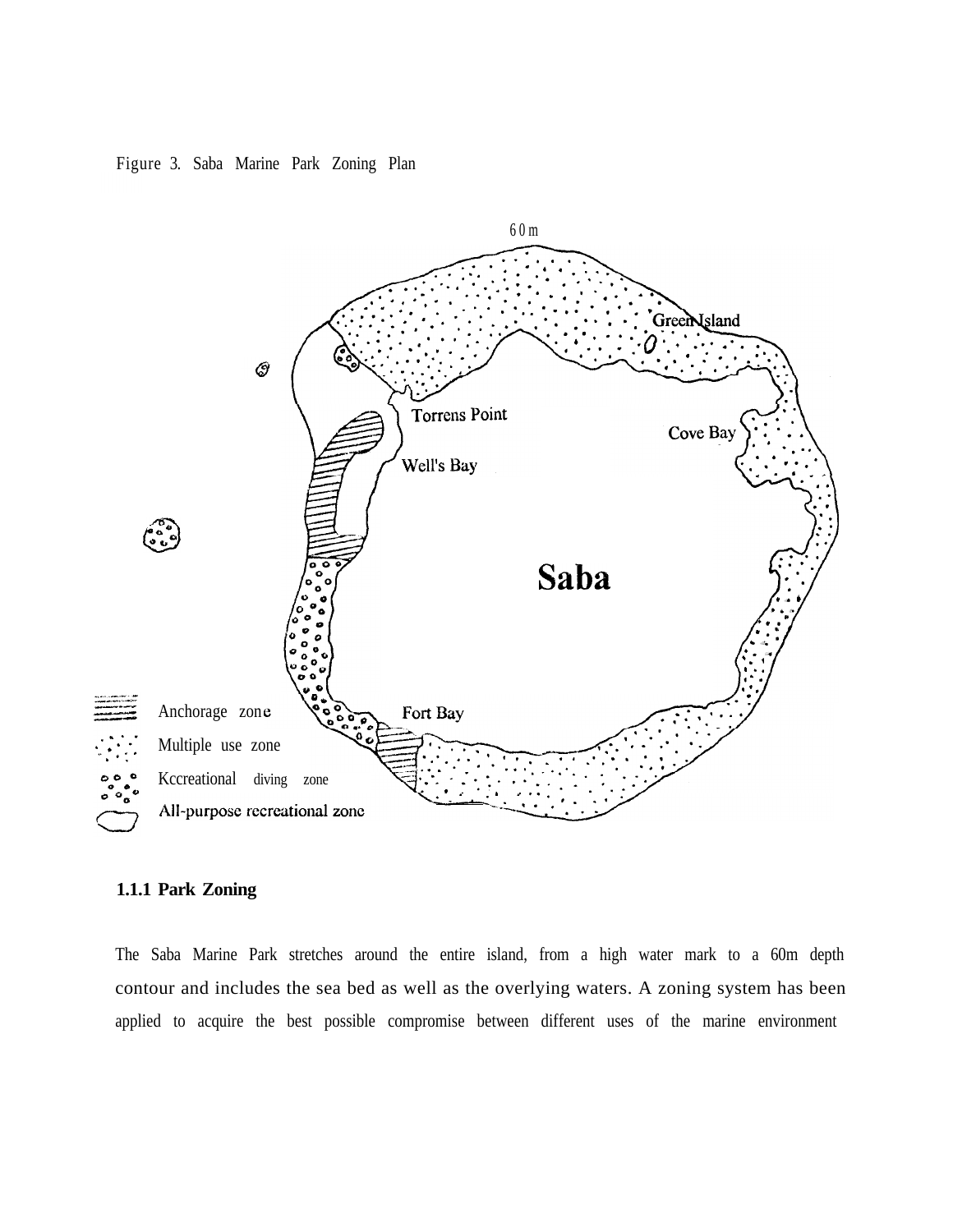#### Figure 3. Saba Marine Park Zoning Plan



#### **1.1.1 Park Zoning**

The Saba Marine Park stretches around the entire island, from a high water mark to a 60m depth contour and includes the sea bed as well as the overlying waters. A zoning system has been applied to acquire the best possible compromise between different uses of the marine environment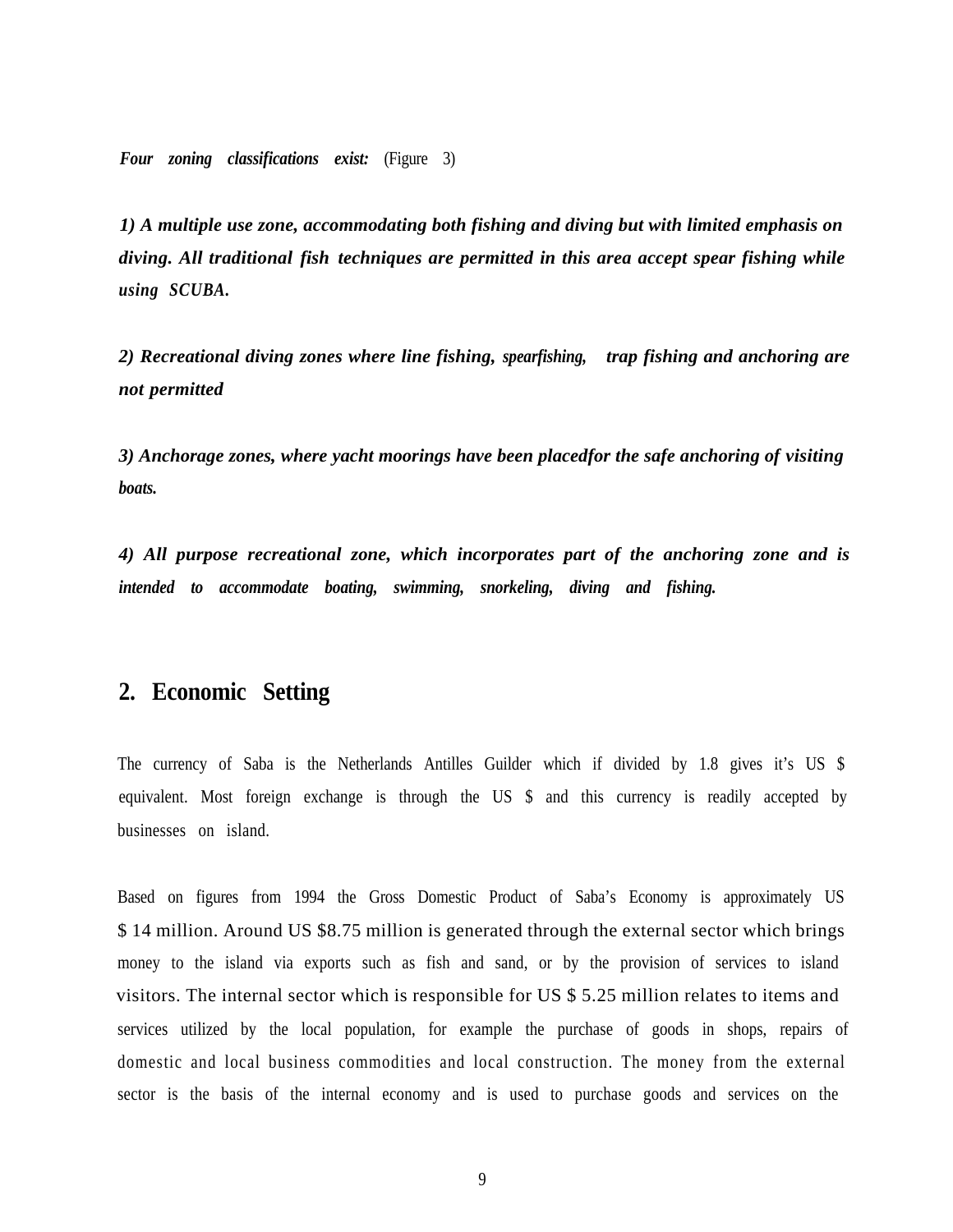*Four zoning classifications exist:* (Figure 3)

*1) A multiple use zone, accommodating both fishing and diving but with limited emphasis on diving. All traditional fish techniques are permitted in this area accept spear fishing while using SCUBA.*

*2) Recreational diving zones where line fishing, spearfishing, trap fishing and anchoring are not permitted*

*3) Anchorage zones, where yacht moorings have been placedfor the safe anchoring of visiting boats.*

*4) All purpose recreational zone, which incorporates part of the anchoring zone and is intended to accommodate boating, swimming, snorkeling, diving and fishing.*

# **2. Economic Setting**

The currency of Saba is the Netherlands Antilles Guilder which if divided by 1.8 gives it's US \$ equivalent. Most foreign exchange is through the US \$ and this currency is readily accepted by businesses on island.

Based on figures from 1994 the Gross Domestic Product of Saba's Economy is approximately US \$ 14 million. Around US \$8.75 million is generated through the external sector which brings money to the island via exports such as fish and sand, or by the provision of services to island visitors. The internal sector which is responsible for US \$ 5.25 million relates to items and services utilized by the local population, for example the purchase of goods in shops, repairs of domestic and local business commodities and local construction. The money from the external sector is the basis of the internal economy and is used to purchase goods and services on the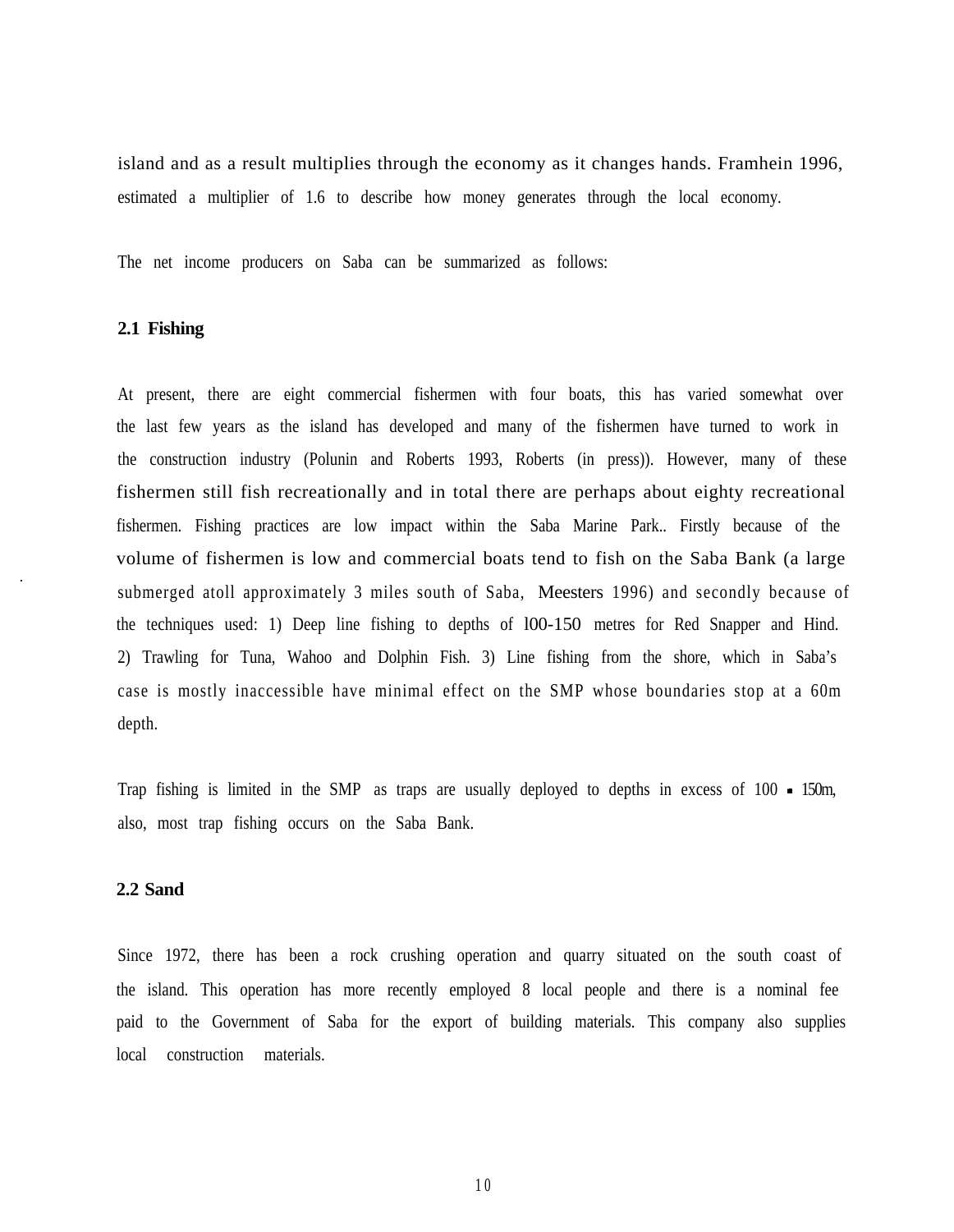island and as a result multiplies through the economy as it changes hands. Framhein 1996, estimated a multiplier of 1.6 to describe how money generates through the local economy.

The net income producers on Saba can be summarized as follows:

#### **2.1 Fishing**

At present, there are eight commercial fishermen with four boats, this has varied somewhat over the last few years as the island has developed and many of the fishermen have turned to work in the construction industry (Polunin and Roberts 1993, Roberts (in press)). However, many of these fishermen still fish recreationally and in total there are perhaps about eighty recreational fishermen. Fishing practices are low impact within the Saba Marine Park.. Firstly because of the volume of fishermen is low and commercial boats tend to fish on the Saba Bank (a large submerged atoll approximately 3 miles south of Saba, Meesters 1996) and secondly because of the techniques used: 1) Deep line fishing to depths of l00-150 metres for Red Snapper and Hind. 2) Trawling for Tuna, Wahoo and Dolphin Fish. 3) Line fishing from the shore, which in Saba's case is mostly inaccessible have minimal effect on the SMP whose boundaries stop at a 60m depth.

Trap fishing is limited in the SMP as traps are usually deployed to depths in excess of 100 - 150m, also, most trap fishing occurs on the Saba Bank.

#### **2.2 Sand**

Since 1972, there has been a rock crushing operation and quarry situated on the south coast of the island. This operation has more recently employed 8 local people and there is a nominal fee paid to the Government of Saba for the export of building materials. This company also supplies local construction materials.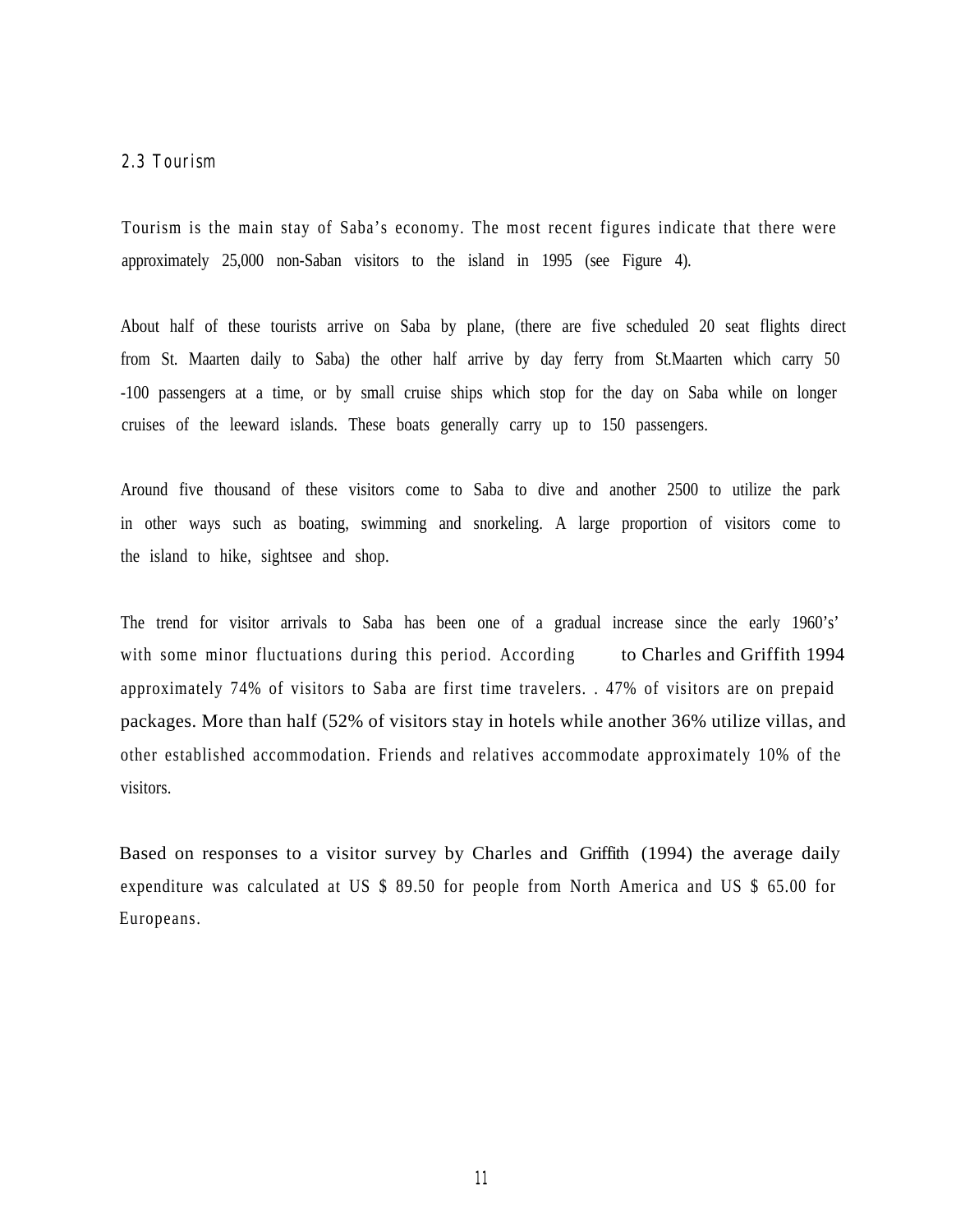#### **2.3 Tourism**

Tourism is the main stay of Saba's economy. The most recent figures indicate that there were approximately 25,000 non-Saban visitors to the island in 1995 (see Figure 4).

About half of these tourists arrive on Saba by plane, (there are five scheduled 20 seat flights direct from St. Maarten daily to Saba) the other half arrive by day ferry from St.Maarten which carry 50 -100 passengers at a time, or by small cruise ships which stop for the day on Saba while on longer cruises of the leeward islands. These boats generally carry up to 150 passengers.

Around five thousand of these visitors come to Saba to dive and another 2500 to utilize the park in other ways such as boating, swimming and snorkeling. A large proportion of visitors come to the island to hike, sightsee and shop.

The trend for visitor arrivals to Saba has been one of a gradual increase since the early 1960's' with some minor fluctuations during this period. According to Charles and Griffith 1994 approximately 74% of visitors to Saba are first time travelers. . 47% of visitors are on prepaid packages. More than half (52% of visitors stay in hotels while another 36% utilize villas, and other established accommodation. Friends and relatives accommodate approximately 10% of the visitors.

Based on responses to a visitor survey by Charles and Griffith (1994) the average daily expenditure was calculated at US \$ 89.50 for people from North America and US \$ 65.00 for Europeans.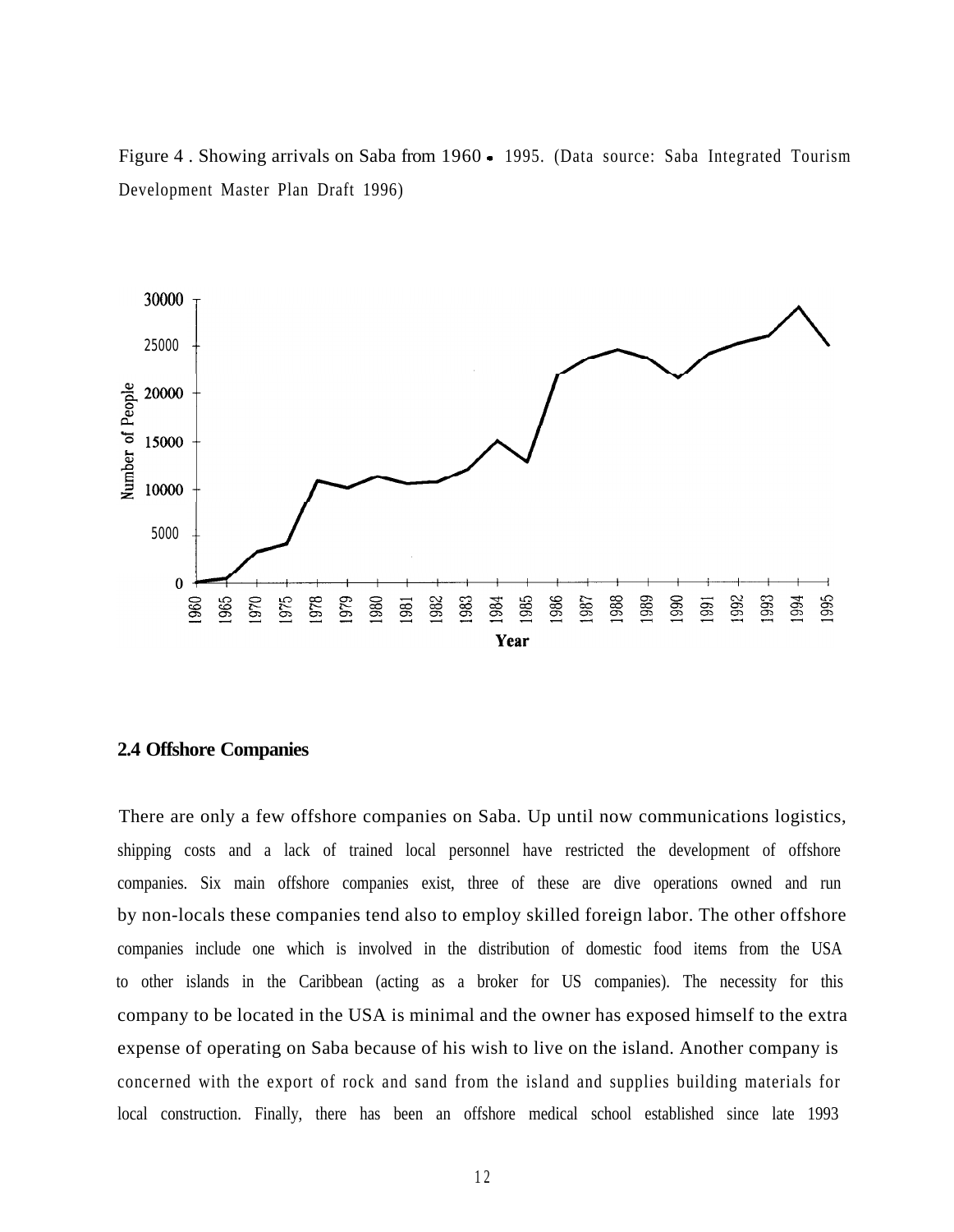Figure 4 . Showing arrivals on Saba from 1960 - 1995. (Data source: Saba Integrated Tourism Development Master Plan Draft 1996)



#### **2.4 Offshore Companies**

There are only a few offshore companies on Saba. Up until now communications logistics, shipping costs and a lack of trained local personnel have restricted the development of offshore companies. Six main offshore companies exist, three of these are dive operations owned and run by non-locals these companies tend also to employ skilled foreign labor. The other offshore companies include one which is involved in the distribution of domestic food items from the USA to other islands in the Caribbean (acting as a broker for US companies). The necessity for this company to be located in the USA is minimal and the owner has exposed himself to the extra expense of operating on Saba because of his wish to live on the island. Another company is concerned with the export of rock and sand from the island and supplies building materials for local construction. Finally, there has been an offshore medical school established since late 1993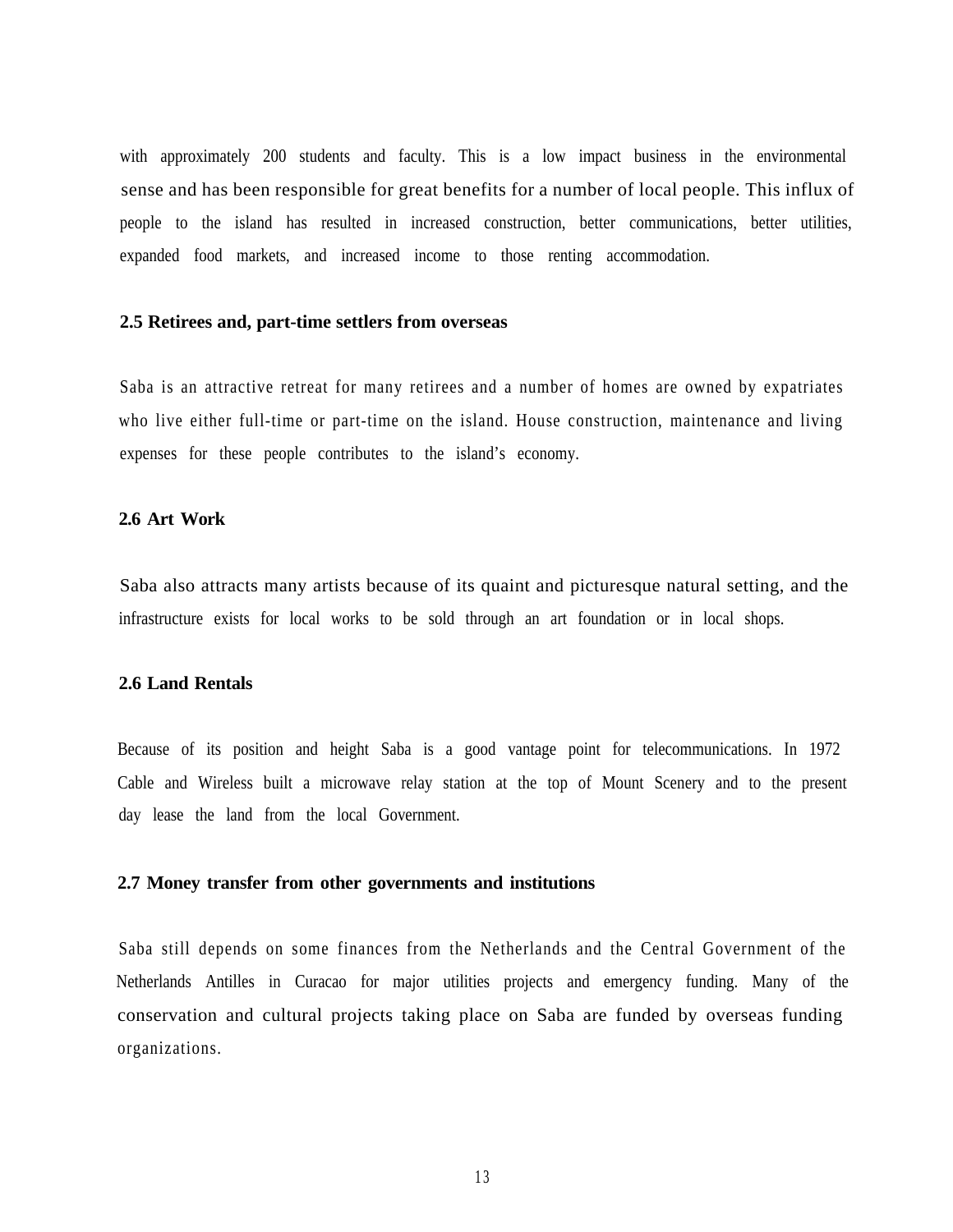with approximately 200 students and faculty. This is a low impact business in the environmental sense and has been responsible for great benefits for a number of local people. This influx of people to the island has resulted in increased construction, better communications, better utilities, expanded food markets, and increased income to those renting accommodation.

#### **2.5 Retirees and, part-time settlers from overseas**

Saba is an attractive retreat for many retirees and a number of homes are owned by expatriates who live either full-time or part-time on the island. House construction, maintenance and living expenses for these people contributes to the island's economy.

#### **2.6 Art Work**

Saba also attracts many artists because of its quaint and picturesque natural setting, and the infrastructure exists for local works to be sold through an art foundation or in local shops.

#### **2.6 Land Rentals**

Because of its position and height Saba is a good vantage point for telecommunications. In 1972 Cable and Wireless built a microwave relay station at the top of Mount Scenery and to the present day lease the land from the local Government.

#### **2.7 Money transfer from other governments and institutions**

Saba still depends on some finances from the Netherlands and the Central Government of the Netherlands Antilles in Curacao for major utilities projects and emergency funding. Many of the conservation and cultural projects taking place on Saba are funded by overseas funding organizations.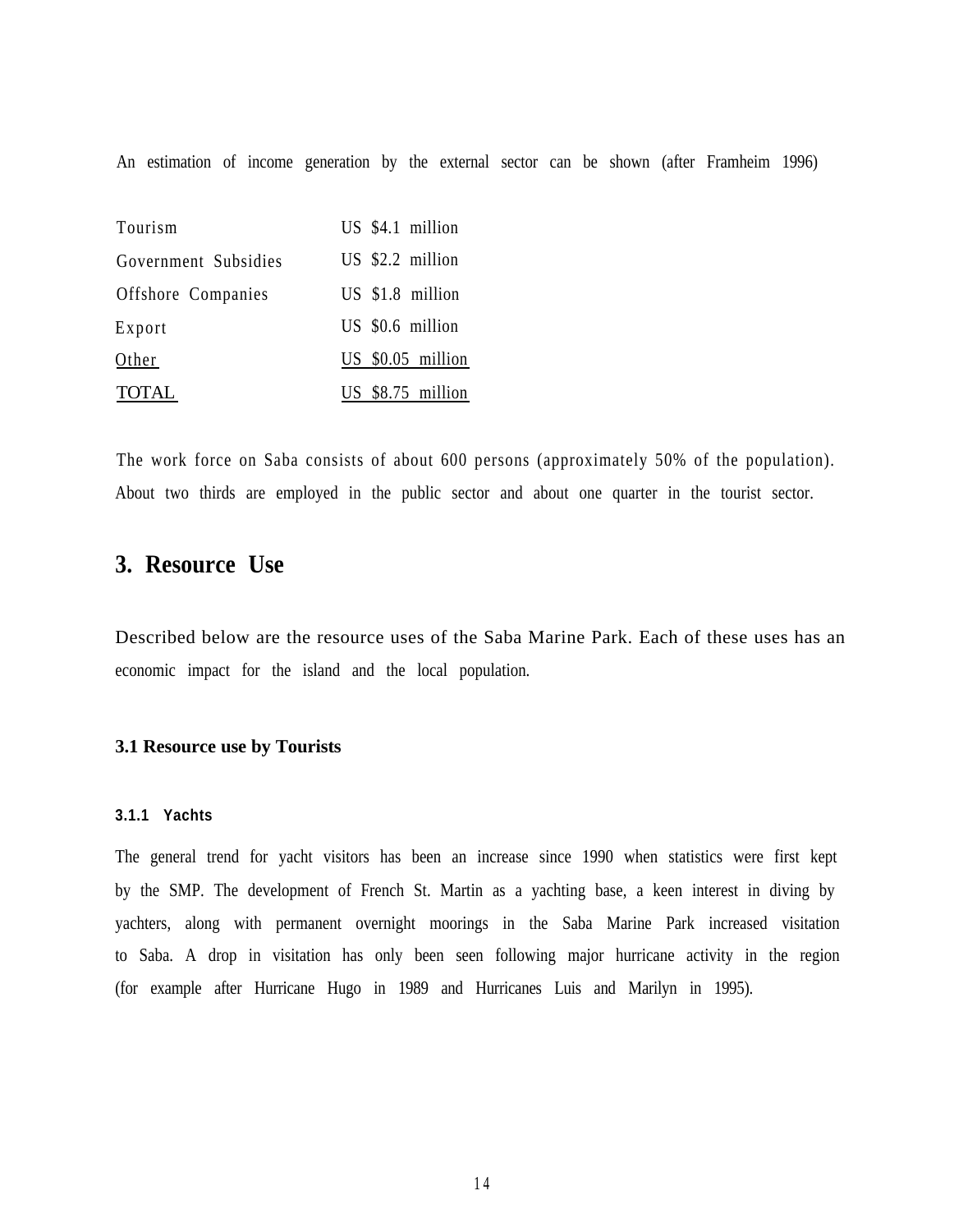An estimation of income generation by the external sector can be shown (after Framheim 1996)

| Tourism              | US \$4.1 million  |
|----------------------|-------------------|
| Government Subsidies | US \$2.2 million  |
| Offshore Companies   | US \$1.8 million  |
| Export               | US \$0.6 million  |
| Other                | US \$0.05 million |
| <b>TOTAL</b>         | US \$8.75 million |

The work force on Saba consists of about 600 persons (approximately 50% of the population). About two thirds are employed in the public sector and about one quarter in the tourist sector.

# **3. Resource Use**

Described below are the resource uses of the Saba Marine Park. Each of these uses has an economic impact for the island and the local population.

#### **3.1 Resource use by Tourists**

#### **3.1.1 Yachts**

The general trend for yacht visitors has been an increase since 1990 when statistics were first kept by the SMP. The development of French St. Martin as a yachting base, a keen interest in diving by yachters, along with permanent overnight moorings in the Saba Marine Park increased visitation to Saba. A drop in visitation has only been seen following major hurricane activity in the region (for example after Hurricane Hugo in 1989 and Hurricanes Luis and Marilyn in 1995).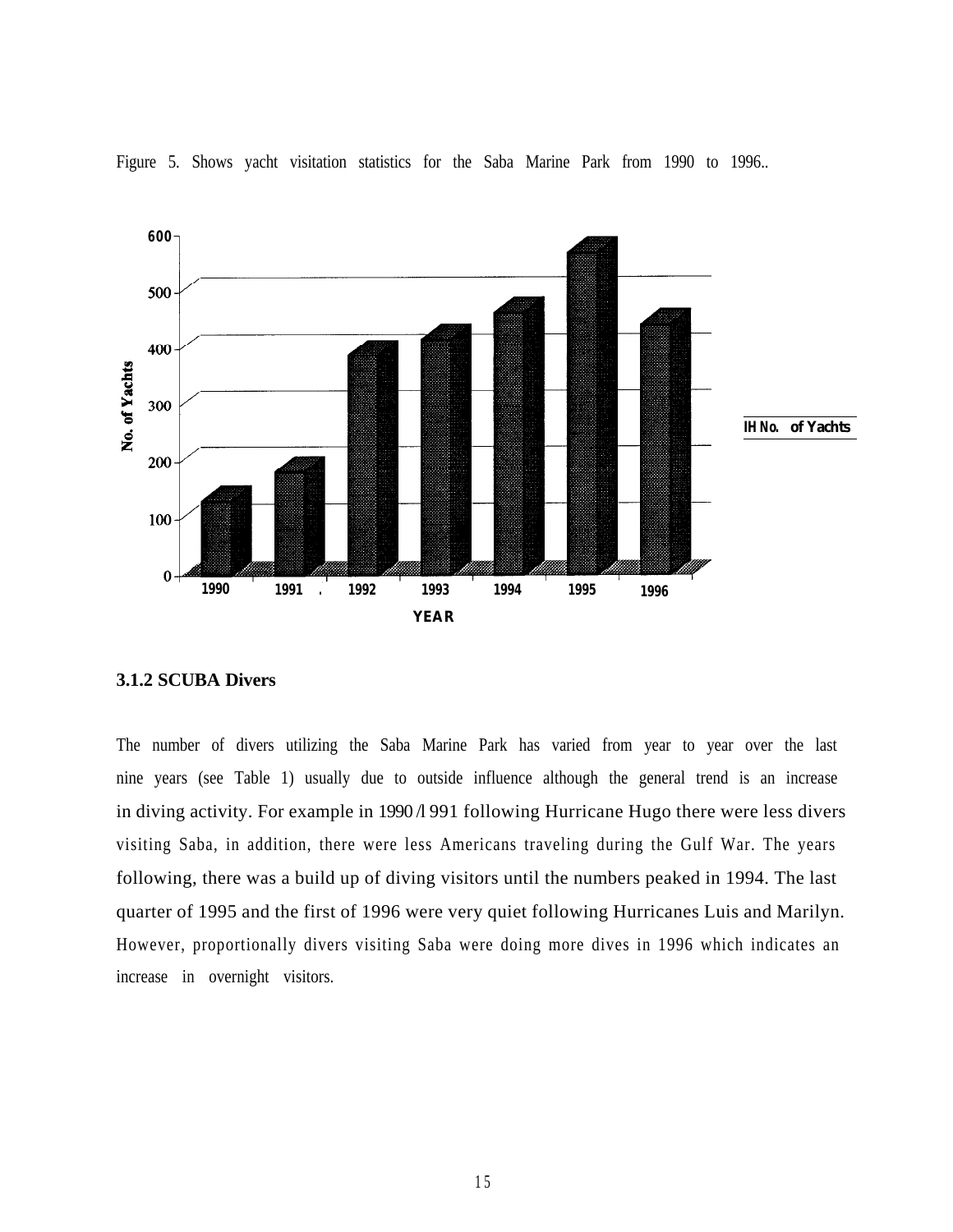

Figure 5. Shows yacht visitation statistics for the Saba Marine Park from 1990 to 1996..

#### **3.1.2 SCUBA Divers**

The number of divers utilizing the Saba Marine Park has varied from year to year over the last nine years (see Table 1) usually due to outside influence although the general trend is an increase in diving activity. For example in 1990/1991 following Hurricane Hugo there were less divers visiting Saba, in addition, there were less Americans traveling during the Gulf War. The years following, there was a build up of diving visitors until the numbers peaked in 1994. The last quarter of 1995 and the first of 1996 were very quiet following Hurricanes Luis and Marilyn. However, proportionally divers visiting Saba were doing more dives in 1996 which indicates an increase in overnight visitors.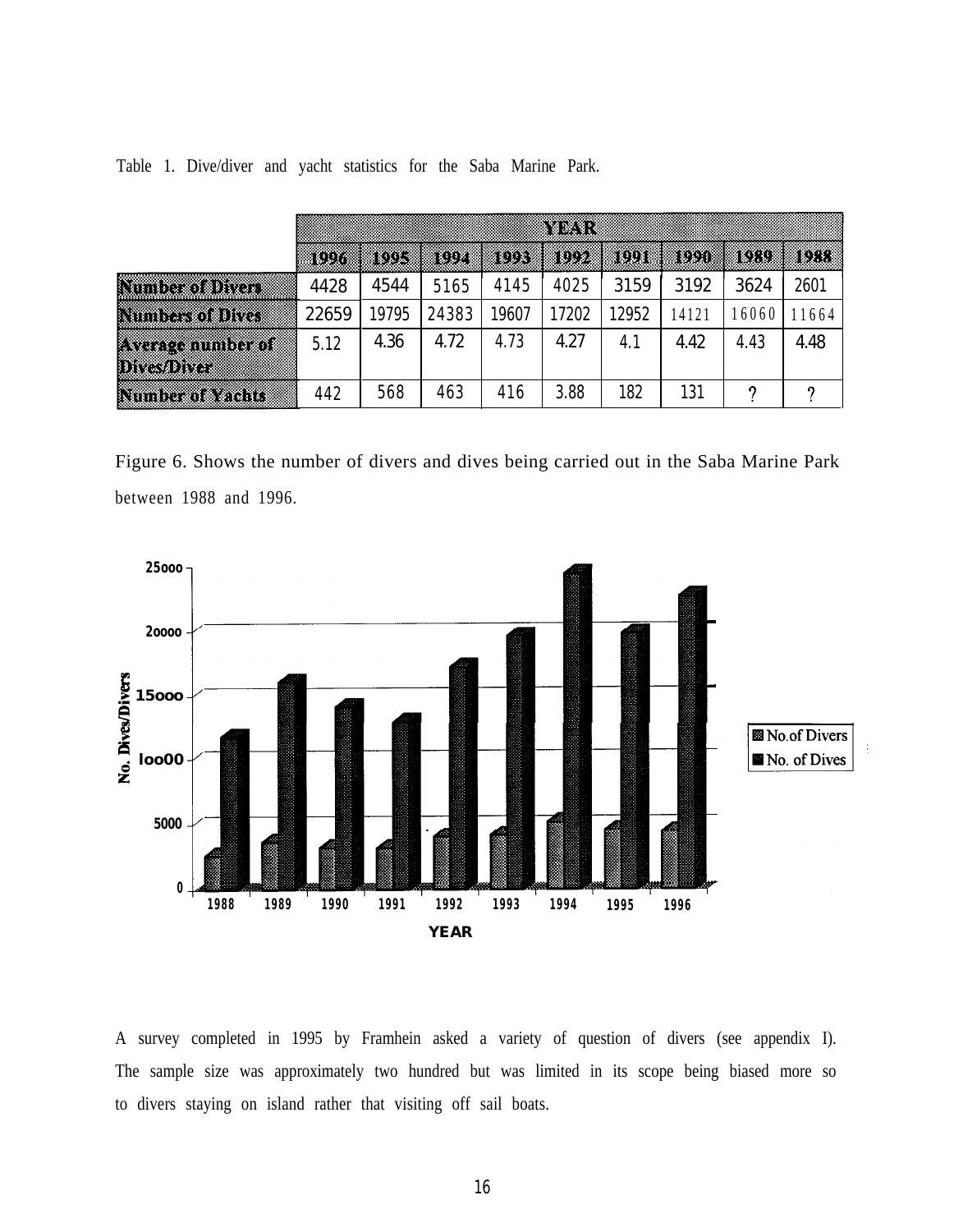|                                              |       |       |       |       | wa a  |       |      |       |       |
|----------------------------------------------|-------|-------|-------|-------|-------|-------|------|-------|-------|
|                                              | iun   | in di | wy    | iux   | iu d  | w     | ID.  | 107.V | 1977. |
| Norder of Divor                              | 4428  | 4544  | 5165  | 4145  | 4025  | 3159  | 3192 | 3624  | 2601  |
| <b>Nimberson Dives</b>                       | 22659 | 9795  | 24383 | 19607 | 17202 | 12952 | 4121 | 6060  | 1664  |
| <b>Exerce municipal</b><br><b>Divestorer</b> | 5.12  | 4.36  | 4.72  | 4.73  | 4.27  | 4.1   | 4.42 | 4.43  | 4.48  |
| Number of Yachts                             | 442   | 568   | 463   | 416   | 3.88  | 182   | 131  |       |       |

Table 1. Dive/diver and yacht statistics for the Saba Marine Park.

Figure 6. Shows the number of divers and dives being carried out in the Saba Marine Park between 1988 and 1996.



A survey completed in 1995 by Framhein asked a variety of question of divers (see appendix I). The sample size was approximately two hundred but was limited in its scope being biased more so to divers staying on island rather that visiting off sail boats.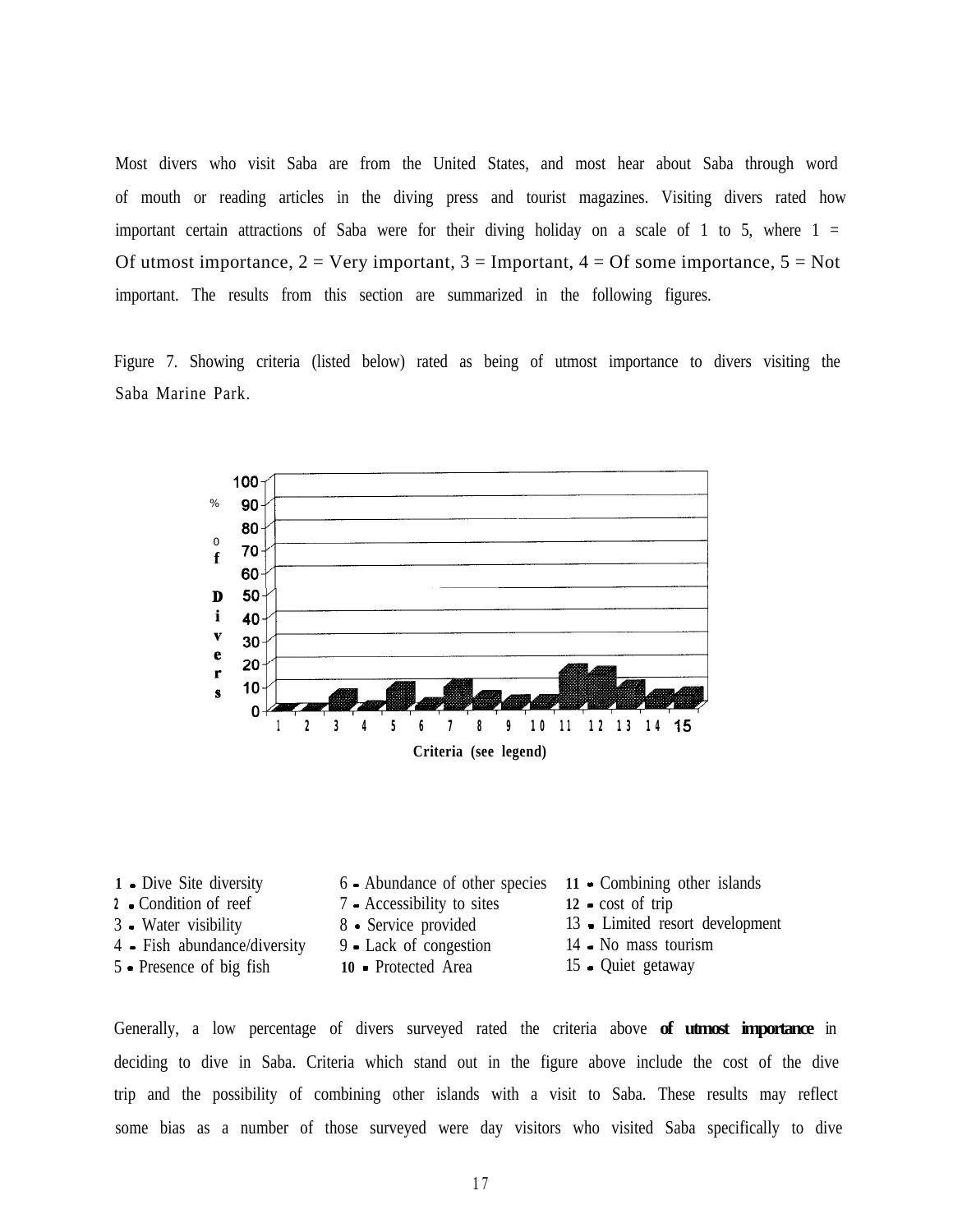Most divers who visit Saba are from the United States, and most hear about Saba through word of mouth or reading articles in the diving press and tourist magazines. Visiting divers rated how important certain attractions of Saba were for their diving holiday on a scale of 1 to 5, where  $1 =$ Of utmost importance,  $2 = \text{Very important}, 3 = \text{Important}, 4 = \text{Of some importance}, 5 = \text{Not}$ important. The results from this section are summarized in the following figures.

Figure 7. Showing criteria (listed below) rated as being of utmost importance to divers visiting the Saba Marine Park.



| 1 - Dive Site diversity      | $6$ - Abundance of other species 11 - Combining other islands |                                 |
|------------------------------|---------------------------------------------------------------|---------------------------------|
| 2 Condition of reef          | 7 - Accessibility to sites                                    | $12$ - cost of trip             |
| 3 - Water visibility         | 8 • Service provided                                          | 13 - Limited resort development |
| 4 - Fish abundance/diversity | 9 - Lack of congestion                                        | 14 • No mass tourism            |
| 5 • Presence of big fish     | 10 - Protected Area                                           | 15 - Quiet getaway              |
|                              |                                                               |                                 |

Generally, a low percentage of divers surveyed rated the criteria above **of utmost importance** in deciding to dive in Saba. Criteria which stand out in the figure above include the cost of the dive trip and the possibility of combining other islands with a visit to Saba. These results may reflect some bias as a number of those surveyed were day visitors who visited Saba specifically to dive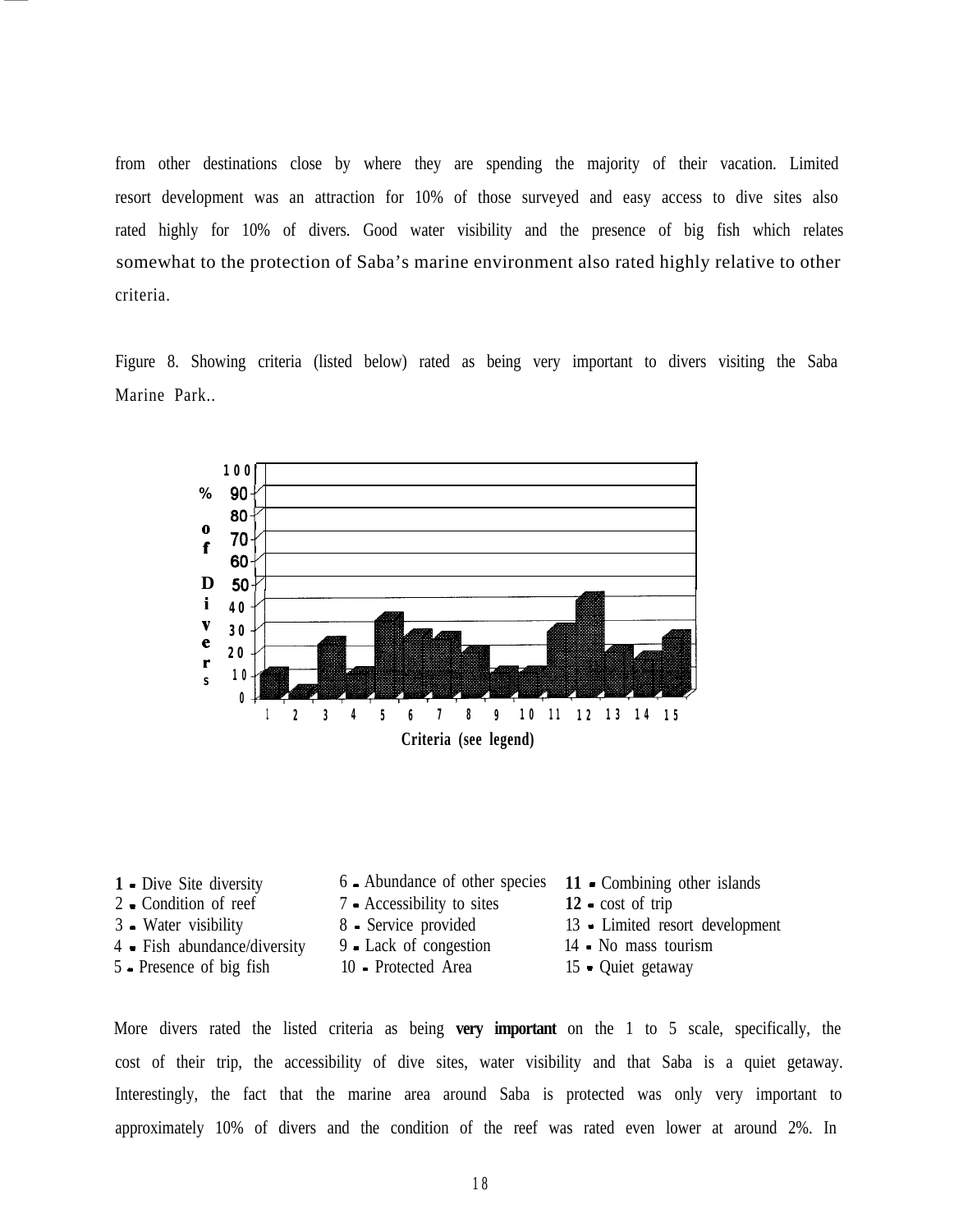from other destinations close by where they are spending the majority of their vacation. Limited resort development was an attraction for 10% of those surveyed and easy access to dive sites also rated highly for 10% of divers. Good water visibility and the presence of big fish which relates somewhat to the protection of Saba's marine environment also rated highly relative to other criteria.

Figure 8. Showing criteria (listed below) rated as being very important to divers visiting the Saba Marine Park..



| 6 - Abundance of other species 11 - Combining other islands |                                 |
|-------------------------------------------------------------|---------------------------------|
| 7 • Accessibility to sites                                  | $12$ cost of trip               |
| 8 - Service provided                                        | 13 • Limited resort development |
| 9 - Lack of congestion                                      | 14 • No mass tourism            |
| 10 - Protected Area                                         | 15 • Quiet getaway              |
|                                                             |                                 |

More divers rated the listed criteria as being **very important** on the 1 to 5 scale, specifically, the cost of their trip, the accessibility of dive sites, water visibility and that Saba is a quiet getaway. Interestingly, the fact that the marine area around Saba is protected was only very important to approximately 10% of divers and the condition of the reef was rated even lower at around 2%. In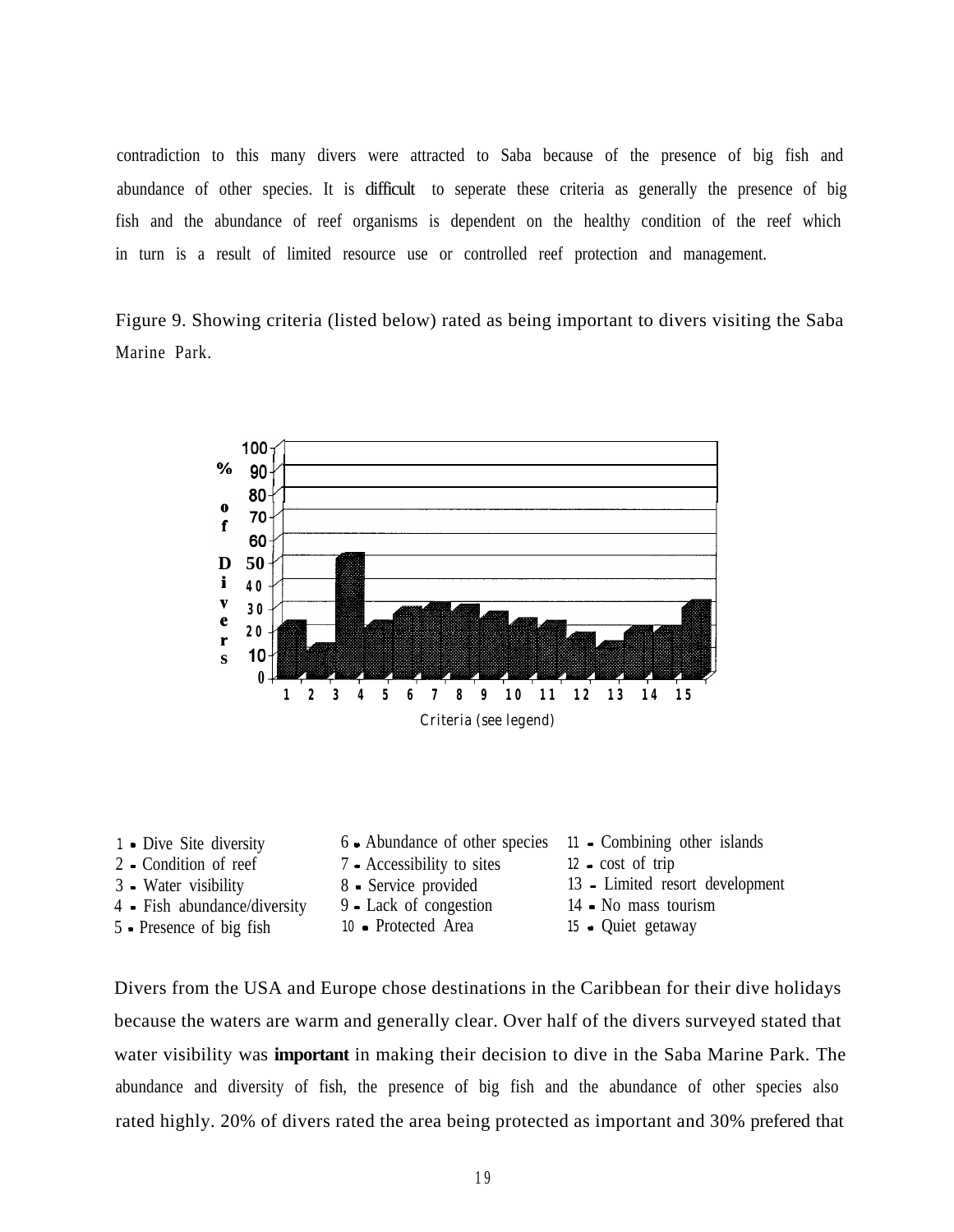contradiction to this many divers were attracted to Saba because of the presence of big fish and abundance of other species. It is difficult to seperate these criteria as generally the presence of big fish and the abundance of reef organisms is dependent on the healthy condition of the reef which in turn is a result of limited resource use or controlled reef protection and management.

Figure 9. Showing criteria (listed below) rated as being important to divers visiting the Saba Marine Park.



| <b>1</b> • Dive Site diversity | 6 Abundance of other species 11 - Combining other islands |                                 |
|--------------------------------|-----------------------------------------------------------|---------------------------------|
| 2 - Condition of reef          | 7 - Accessibility to sites                                | $12$ cost of trip               |
| 3 - Water visibility           | 8 - Service provided                                      | 13 - Limited resort development |
| 4 - Fish abundance/diversity   | 9 - Lack of congestion                                    | 14 - No mass tourism            |
| 5 - Presence of big fish       | 10 - Protected Area                                       | 15 - Quiet getaway              |

Divers from the USA and Europe chose destinations in the Caribbean for their dive holidays because the waters are warm and generally clear. Over half of the divers surveyed stated that water visibility was **important** in making their decision to dive in the Saba Marine Park. The abundance and diversity of fish, the presence of big fish and the abundance of other species also rated highly. 20% of divers rated the area being protected as important and 30% prefered that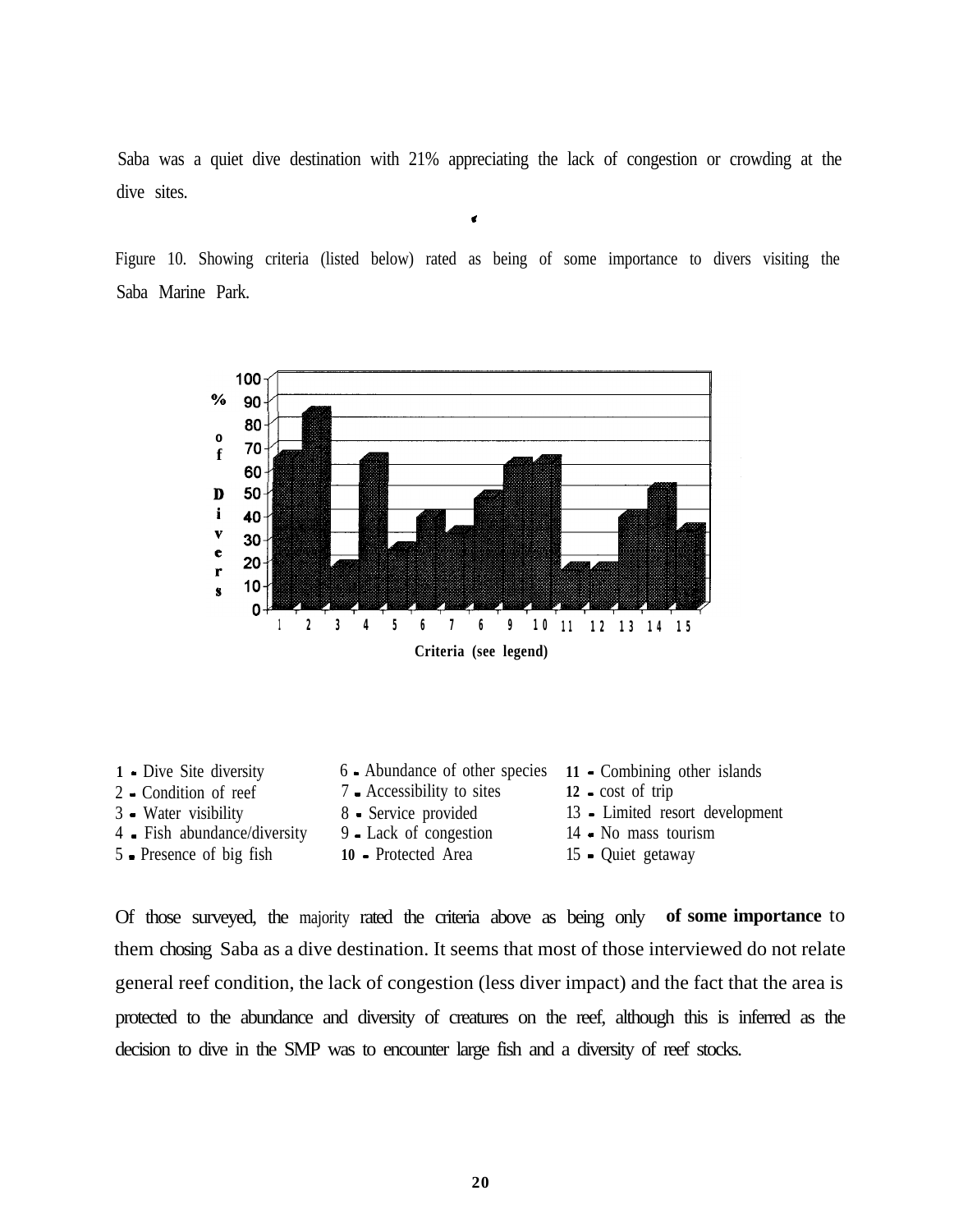Saba was a quiet dive destination with 21% appreciating the lack of congestion or crowding at the dive sites.

\*

Figure 10. Showing criteria (listed below) rated as being of some importance to divers visiting the Saba Marine Park.



**1 -** Dive Site diversity 6 - Abundance of other species **11** - Combining other islands 2 - Condition of reef 7 - Accessibility to sites **12 -** cost of trip 3 - Water visibility 8 - Service provided 13 - Limited resort development 4 - Fish abundance/diversity 9 - Lack of congestion 14 - No mass tourism 5 - Presence of big fish **10** - Protected Area 15 - Quiet getaway

Of those surveyed, the majority rated the criteria above as being only **of some importance** to them chosing Saba as a dive destination. It seems that most of those interviewed do not relate general reef condition, the lack of congestion (less diver impact) and the fact that the area is protected to the abundance and diversity of creatures on the reef, although this is inferred as the decision to dive in the SMP was to encounter large fish and a diversity of reef stocks.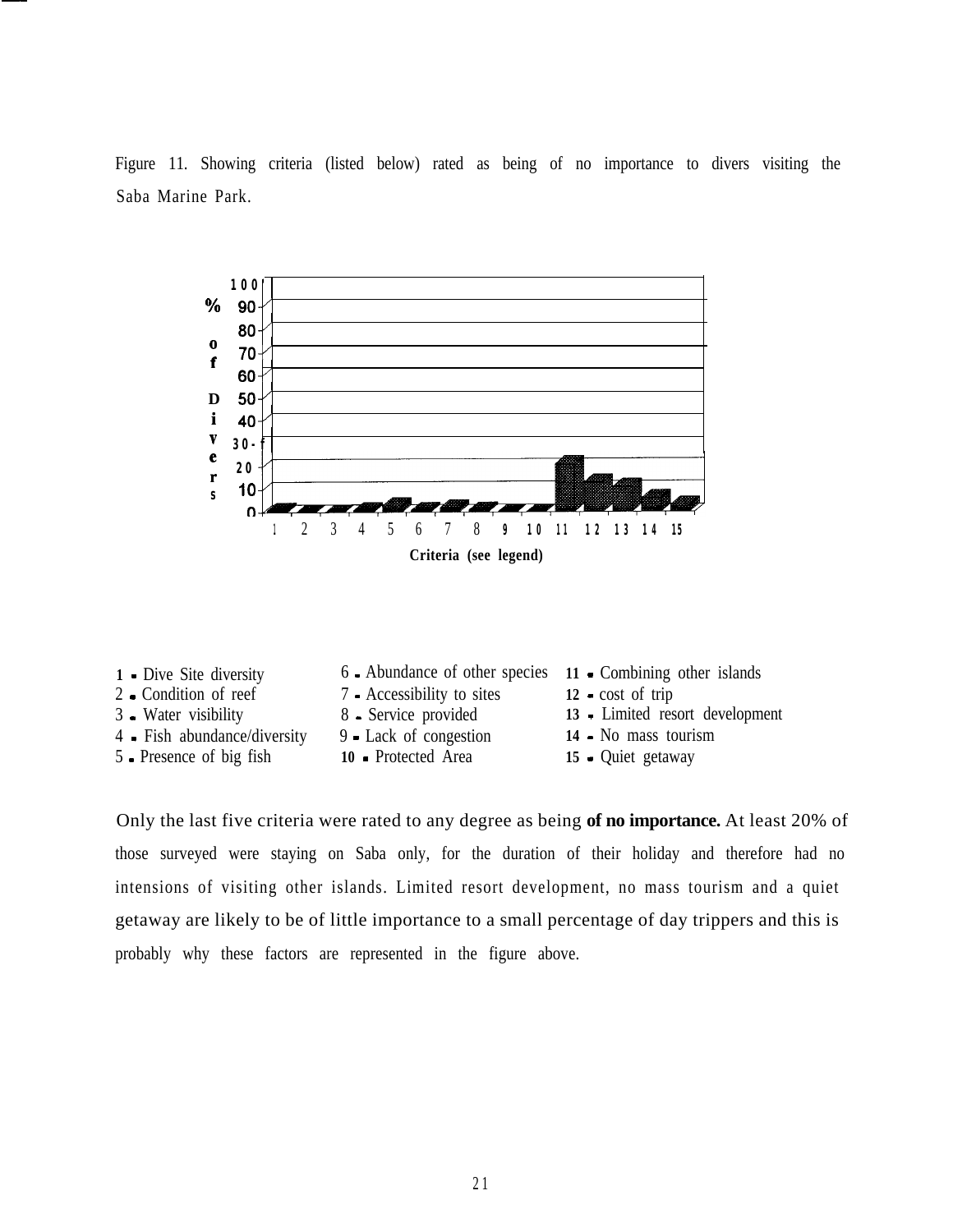Figure 11. Showing criteria (listed below) rated as being of no importance to divers visiting the Saba Marine Park.



Only the last five criteria were rated to any degree as being **of no importance.** At least 20% of those surveyed were staying on Saba only, for the duration of their holiday and therefore had no intensions of visiting other islands. Limited resort development, no mass tourism and a quiet getaway are likely to be of little importance to a small percentage of day trippers and this is probably why these factors are represented in the figure above.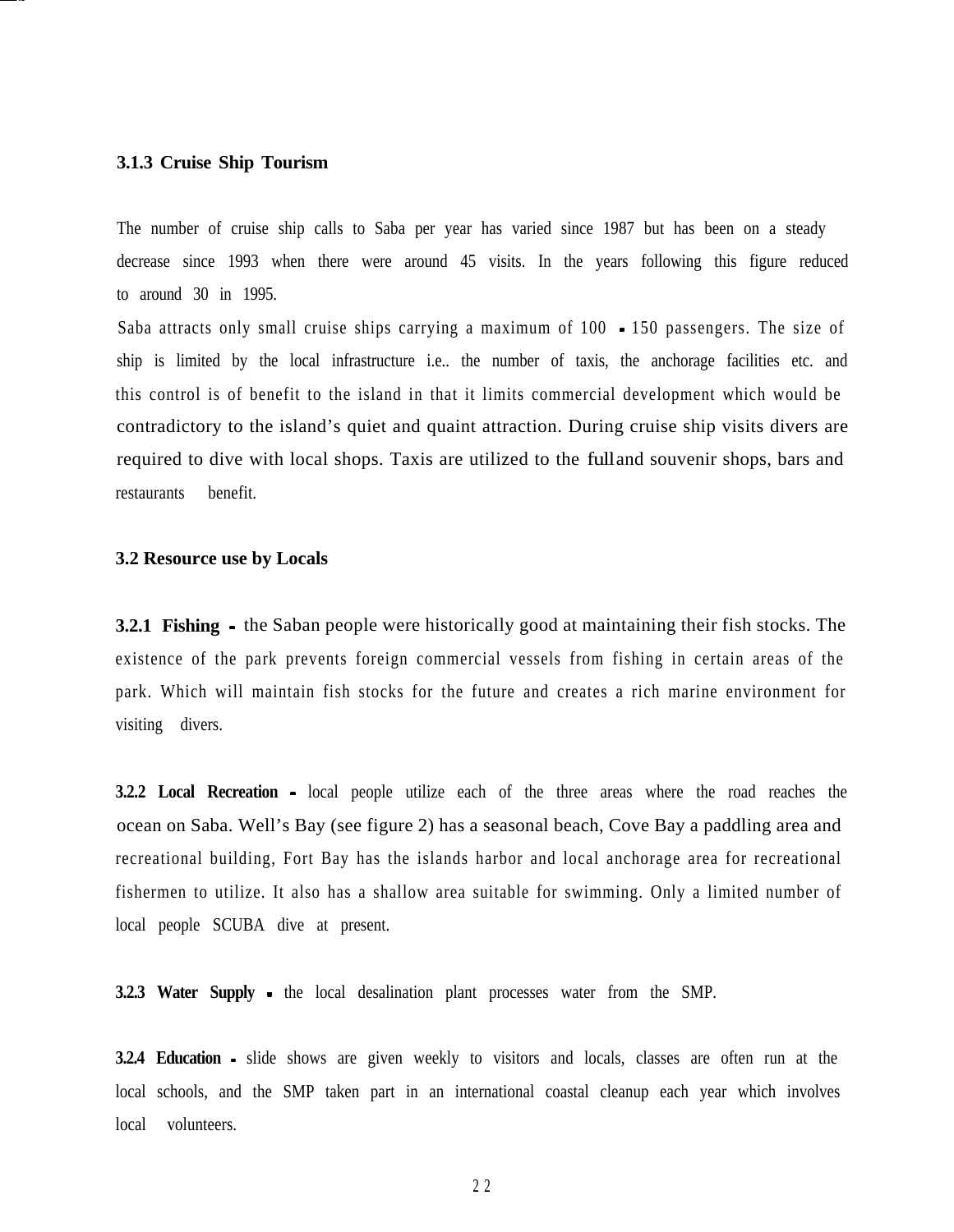#### **3.1.3 Cruise Ship Tourism**

The number of cruise ship calls to Saba per year has varied since 1987 but has been on a steady decrease since 1993 when there were around 45 visits. In the years following this figure reduced to around 30 in 1995.

Saba attracts only small cruise ships carrying a maximum of 100 - 150 passengers. The size of ship is limited by the local infrastructure i.e.. the number of taxis, the anchorage facilities etc. and this control is of benefit to the island in that it limits commercial development which would be contradictory to the island's quiet and quaint attraction. During cruise ship visits divers are required to dive with local shops. Taxis are utilized to the full and souvenir shops, bars and restaurants benefit.

#### **3.2 Resource use by Locals**

**3.2.1 Fishing -** the Saban people were historically good at maintaining their fish stocks. The existence of the park prevents foreign commercial vessels from fishing in certain areas of the park. Which will maintain fish stocks for the future and creates a rich marine environment for visiting divers.

**3.2.2 Local Recreation** - local people utilize each of the three areas where the road reaches the ocean on Saba. Well's Bay (see figure 2) has a seasonal beach, Cove Bay a paddling area and recreational building, Fort Bay has the islands harbor and local anchorage area for recreational fishermen to utilize. It also has a shallow area suitable for swimming. Only a limited number of local people SCUBA dive at present.

**3.2.3 Water Supply** - the local desalination plant processes water from the SMP.

**3.2.4 Education** - slide shows are given weekly to visitors and locals, classes are often run at the local schools, and the SMP taken part in an international coastal cleanup each year which involves local volunteers.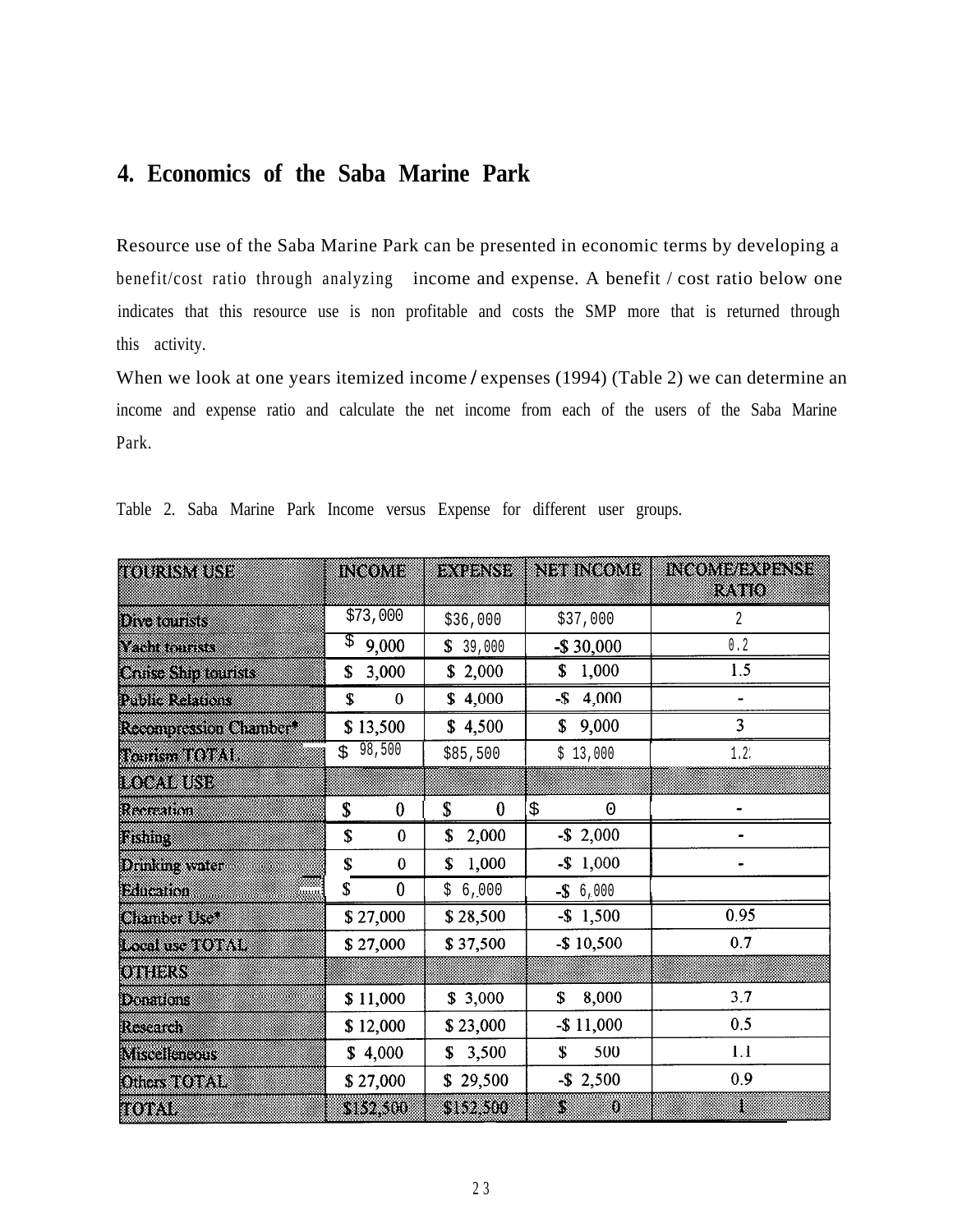# **4. Economics of the Saba Marine Park**

Resource use of the Saba Marine Park can be presented in economic terms by developing a benefit/cost ratio through analyzing income and expense. A benefit / cost ratio below one indicates that this resource use is non profitable and costs the SMP more that is returned through this activity.

When we look at one years itemized income / expenses (1994) (Table 2) we can determine an income and expense ratio and calculate the net income from each of the users of the Saba Marine Park.

| TOURISMUSE                   | INGOME                 | <b>BARKET</b>  | NEIBINGOME   | INCOME EXPENSE<br>ran d |
|------------------------------|------------------------|----------------|--------------|-------------------------|
| <b>Divisions</b> S           | \$73,000               | \$36,000       | \$37,000     | 2                       |
| Vantonin                     | \$<br>9,000            | \$39,000       | $-$30,000$   | $0.2$                   |
| <b>Conservation Counsist</b> | 3,000<br>\$            | \$2,000        | 1,000<br>\$  | 1.5                     |
| rina e agus                  | \$<br>0                | \$4,000        | 4,000<br>-\$ |                         |
| <b>Residues and Charles</b>  | \$13,500               | \$4,500        | 9,000<br>\$  | $\overline{\mathbf{3}}$ |
| <b>Tanan TOTAL</b>           | 98,500<br>Ś.           | \$85,500       | \$13,000     | $1.2^{\circ}$           |
| <b>TOURISM</b>               |                        |                |              |                         |
| Recenten                     | $\boldsymbol{0}$<br>\$ | \$<br>$\bf{0}$ | \$<br>0      |                         |
| RSM.                         | \$<br>$\bf{0}$         | \$<br>2,000    | $-$ \$ 2,000 |                         |
| Drman water                  | \$<br>0                | 1,000<br>\$    | $-$ \$ 1,000 |                         |
| mm<br><b>Bineman</b>         | \$<br>$\mathbf 0$      | 6,000<br>\$    | $-$ \$ 6,000 |                         |
| <b>CERTIFICATE COM</b>       | \$27,000               | \$28,500       | $-$ \$ 1,500 | 0.95                    |
| <b>Inchestration</b>         | \$27,000               | \$37,500       | $-$10,500$   | 0.7                     |
| <b>QUEENS</b>                |                        |                |              |                         |
| <b>Donations</b>             | \$11,000               | \$3,000        | 8,000<br>\$  | 3.7                     |
| Research                     | \$12,000               | \$23,000       | $-$11,000$   | 0.5                     |
| <b>Miscalencous</b>          | \$4,000                | \$3,500        | \$<br>500    | $1.1$                   |
| <b>ORG STORM</b>             | \$27,000               | \$29,500       | $-$ \$ 2,500 | 0.9                     |
| 80X V                        | 382300                 | 552500         | S<br>O       | 8                       |

Table 2. Saba Marine Park Income versus Expense for different user groups.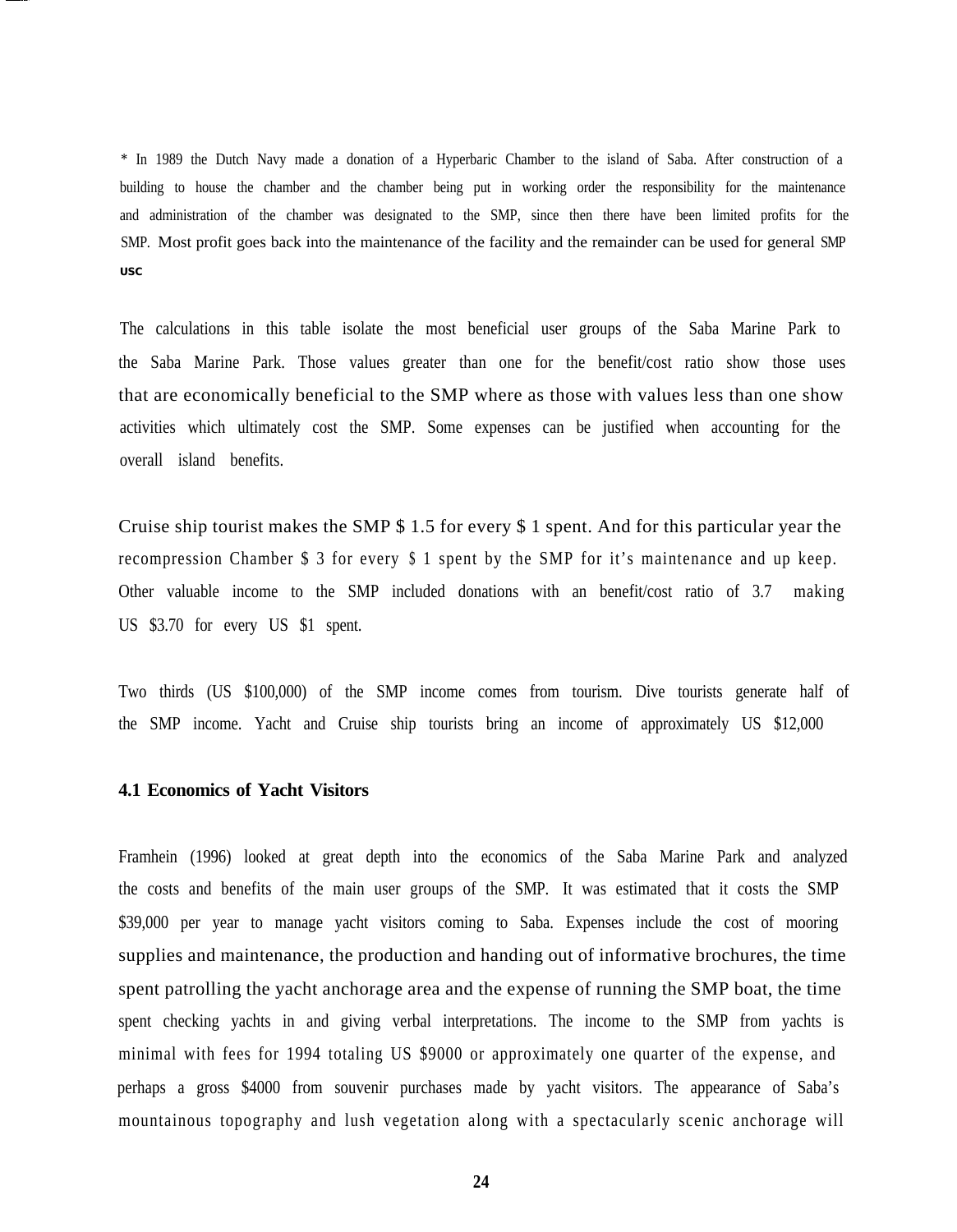\* In 1989 the Dutch Navy made a donation of a Hyperbaric Chamber to the island of Saba. After construction of a building to house the chamber and the chamber being put in working order the responsibility for the maintenance and administration of the chamber was designated to the SMP, since then there have been limited profits for the SMP. Most profit goes back into the maintenance of the facility and the remainder can be used for general SMP **USC**

The calculations in this table isolate the most beneficial user groups of the Saba Marine Park to the Saba Marine Park. Those values greater than one for the benefit/cost ratio show those uses that are economically beneficial to the SMP where as those with values less than one show activities which ultimately cost the SMP. Some expenses can be justified when accounting for the overall island benefits.

Cruise ship tourist makes the SMP \$ 1.5 for every \$ 1 spent. And for this particular year the recompression Chamber \$ 3 for every \$ 1 spent by the SMP for it's maintenance and up keep. Other valuable income to the SMP included donations with an benefit/cost ratio of 3.7 making US \$3.70 for every US \$1 spent.

Two thirds (US \$100,000) of the SMP income comes from tourism. Dive tourists generate half of the SMP income. Yacht and Cruise ship tourists bring an income of approximately US \$12,000

#### **4.1 Economics of Yacht Visitors**

Framhein (1996) looked at great depth into the economics of the Saba Marine Park and analyzed the costs and benefits of the main user groups of the SMP. It was estimated that it costs the SMP \$39,000 per year to manage yacht visitors coming to Saba. Expenses include the cost of mooring supplies and maintenance, the production and handing out of informative brochures, the time spent patrolling the yacht anchorage area and the expense of running the SMP boat, the time spent checking yachts in and giving verbal interpretations. The income to the SMP from yachts is minimal with fees for 1994 totaling US \$9000 or approximately one quarter of the expense, and perhaps a gross \$4000 from souvenir purchases made by yacht visitors. The appearance of Saba's mountainous topography and lush vegetation along with a spectacularly scenic anchorage will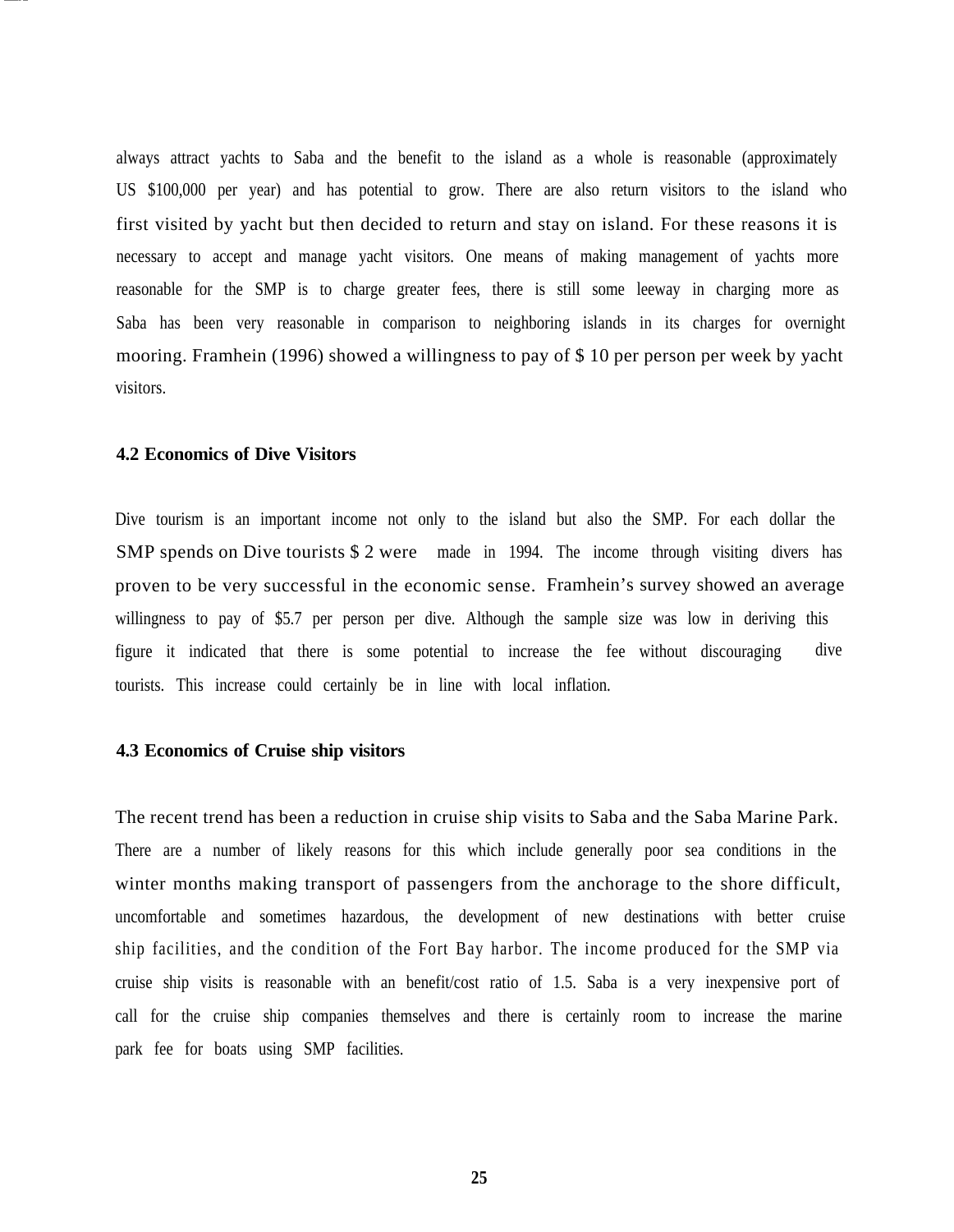always attract yachts to Saba and the benefit to the island as a whole is reasonable (approximately US \$100,000 per year) and has potential to grow. There are also return visitors to the island who first visited by yacht but then decided to return and stay on island. For these reasons it is necessary to accept and manage yacht visitors. One means of making management of yachts more reasonable for the SMP is to charge greater fees, there is still some leeway in charging more as Saba has been very reasonable in comparison to neighboring islands in its charges for overnight mooring. Framhein (1996) showed a willingness to pay of \$ 10 per person per week by yacht visitors.

#### **4.2 Economics of Dive Visitors**

Dive tourism is an important income not only to the island but also the SMP. For each dollar the SMP spends on Dive tourists \$2 were made in 1994. The income through visiting divers has proven to be very successful in the economic sense. Framhein's survey showed an average willingness to pay of \$5.7 per person per dive. Although the sample size was low in deriving this figure it indicated that there is some potential to increase the fee without discouraging dive tourists. This increase could certainly be in line with local inflation.

#### **4.3 Economics of Cruise ship visitors**

The recent trend has been a reduction in cruise ship visits to Saba and the Saba Marine Park. There are a number of likely reasons for this which include generally poor sea conditions in the winter months making transport of passengers from the anchorage to the shore difficult, uncomfortable and sometimes hazardous, the development of new destinations with better cruise ship facilities, and the condition of the Fort Bay harbor. The income produced for the SMP via cruise ship visits is reasonable with an benefit/cost ratio of 1.5. Saba is a very inexpensive port of call for the cruise ship companies themselves and there is certainly room to increase the marine park fee for boats using SMP facilities.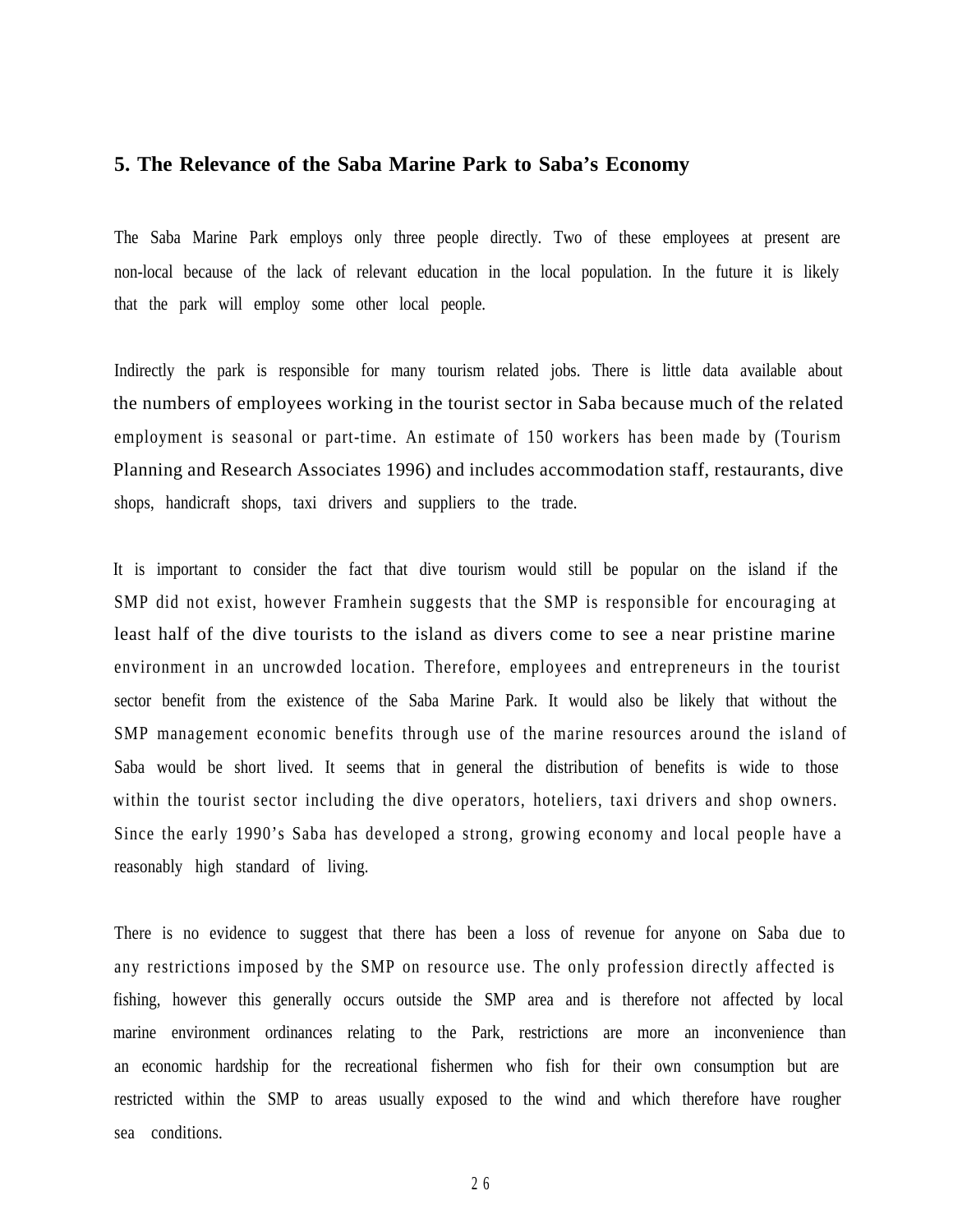#### **5. The Relevance of the Saba Marine Park to Saba's Economy**

The Saba Marine Park employs only three people directly. Two of these employees at present are non-local because of the lack of relevant education in the local population. In the future it is likely that the park will employ some other local people.

Indirectly the park is responsible for many tourism related jobs. There is little data available about the numbers of employees working in the tourist sector in Saba because much of the related employment is seasonal or part-time. An estimate of 150 workers has been made by (Tourism Planning and Research Associates 1996) and includes accommodation staff, restaurants, dive shops, handicraft shops, taxi drivers and suppliers to the trade.

It is important to consider the fact that dive tourism would still be popular on the island if the SMP did not exist, however Framhein suggests that the SMP is responsible for encouraging at least half of the dive tourists to the island as divers come to see a near pristine marine environment in an uncrowded location. Therefore, employees and entrepreneurs in the tourist sector benefit from the existence of the Saba Marine Park. It would also be likely that without the SMP management economic benefits through use of the marine resources around the island of Saba would be short lived. It seems that in general the distribution of benefits is wide to those within the tourist sector including the dive operators, hoteliers, taxi drivers and shop owners. Since the early 1990's Saba has developed a strong, growing economy and local people have a reasonably high standard of living.

There is no evidence to suggest that there has been a loss of revenue for anyone on Saba due to any restrictions imposed by the SMP on resource use. The only profession directly affected is fishing, however this generally occurs outside the SMP area and is therefore not affected by local marine environment ordinances relating to the Park, restrictions are more an inconvenience than an economic hardship for the recreational fishermen who fish for their own consumption but are restricted within the SMP to areas usually exposed to the wind and which therefore have rougher sea conditions.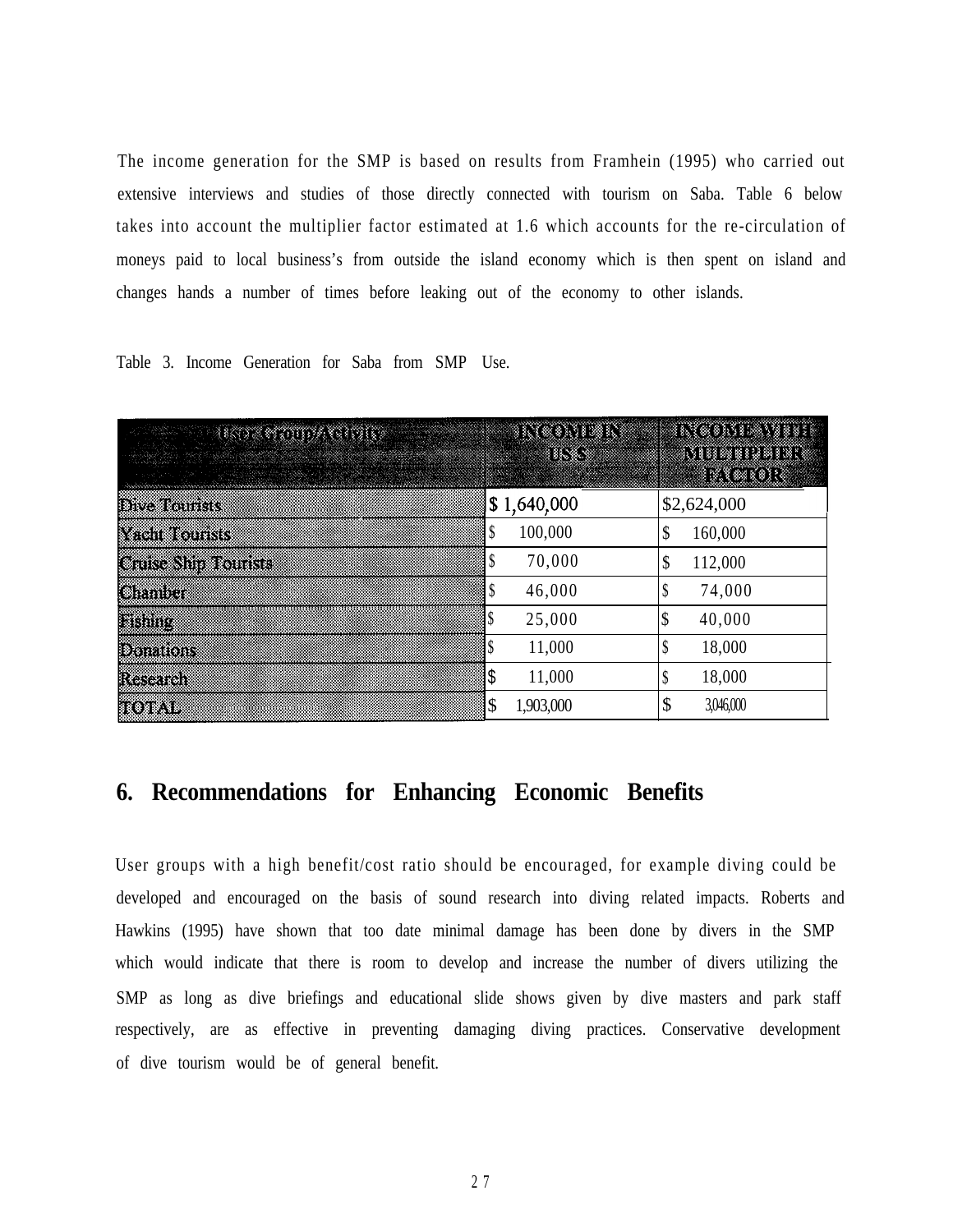The income generation for the SMP is based on results from Framhein (1995) who carried out extensive interviews and studies of those directly connected with tourism on Saba. Table 6 below takes into account the multiplier factor estimated at 1.6 which accounts for the re-circulation of moneys paid to local business's from outside the island economy which is then spent on island and changes hands a number of times before leaking out of the economy to other islands.

Table 3. Income Generation for Saba from SMP Use.

| <u>e kom emilija te ili p</u> eriodi | en en be<br>18683 | <u>kvententee</u><br><u>Muniya da na</u><br><u> XV (* 1913</u> |
|--------------------------------------|-------------------|----------------------------------------------------------------|
| <b>Dive Tourists</b>                 | \$1,640,000       | \$2,624,000                                                    |
| North City                           | 100,000           | \$<br>160,000                                                  |
| <b>Case Shift Tourists</b>           | 70,000            | \$<br>112,000                                                  |
| Chanber                              | 46,000            | \$<br>74,000                                                   |
| <b>Fishing</b>                       | 25,000            | 40,000<br>\$                                                   |
| <b>Donations</b>                     | 11,000            | 18,000<br>\$                                                   |
| Research                             | 11,000            | 18,000<br>\$                                                   |
| <b>ROTAL</b>                         | 1,903,000         | \$<br>3,046,000                                                |

# **6. Recommendations for Enhancing Economic Benefits**

User groups with a high benefit/cost ratio should be encouraged, for example diving could be developed and encouraged on the basis of sound research into diving related impacts. Roberts and Hawkins (1995) have shown that too date minimal damage has been done by divers in the SMP which would indicate that there is room to develop and increase the number of divers utilizing the SMP as long as dive briefings and educational slide shows given by dive masters and park staff respectively, are as effective in preventing damaging diving practices. Conservative development of dive tourism would be of general benefit.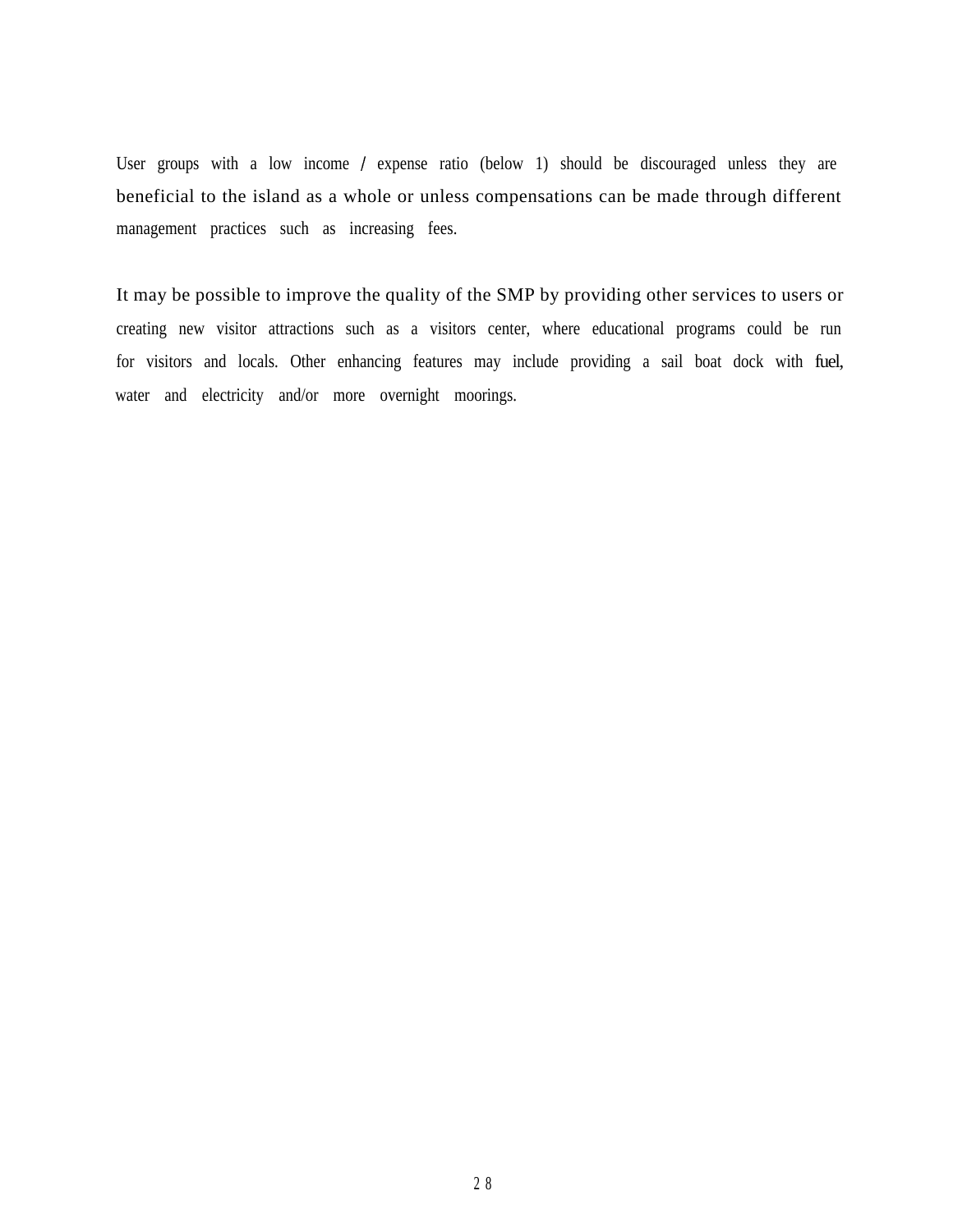User groups with a low income / expense ratio (below 1) should be discouraged unless they are beneficial to the island as a whole or unless compensations can be made through different management practices such as increasing fees.

It may be possible to improve the quality of the SMP by providing other services to users or creating new visitor attractions such as a visitors center, where educational programs could be run for visitors and locals. Other enhancing features may include providing a sail boat dock with fuel, water and electricity and/or more overnight moorings.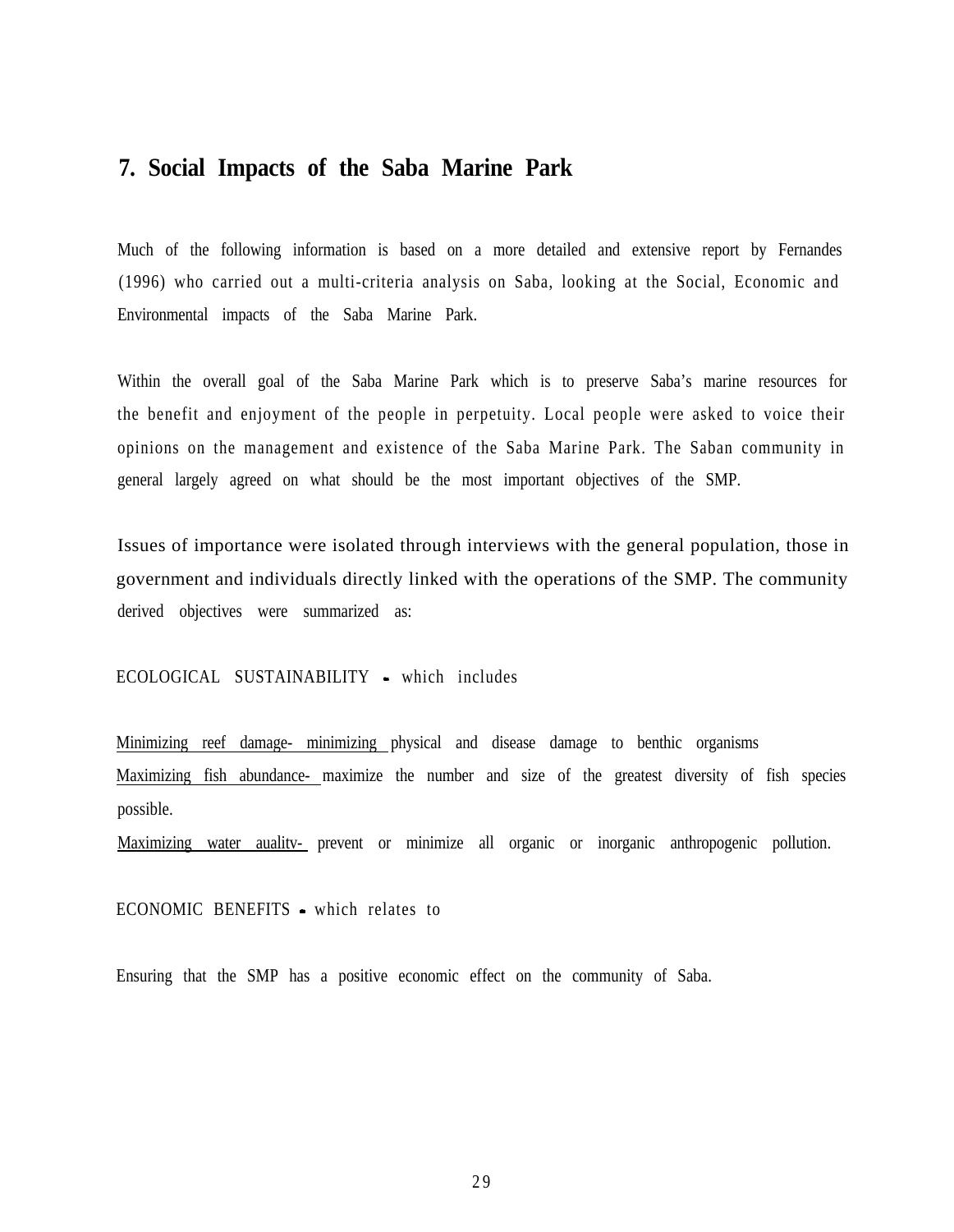### **7. Social Impacts of the Saba Marine Park**

Much of the following information is based on a more detailed and extensive report by Fernandes (1996) who carried out a multi-criteria analysis on Saba, looking at the Social, Economic and Environmental impacts of the Saba Marine Park.

Within the overall goal of the Saba Marine Park which is to preserve Saba's marine resources for the benefit and enjoyment of the people in perpetuity. Local people were asked to voice their opinions on the management and existence of the Saba Marine Park. The Saban community in general largely agreed on what should be the most important objectives of the SMP.

Issues of importance were isolated through interviews with the general population, those in government and individuals directly linked with the operations of the SMP. The community derived objectives were summarized as:

ECOLOGICAL SUSTAINABILITY • which includes

Minimizing reef damage- minimizing physical and disease damage to benthic organisms Maximizing fish abundance- maximize the number and size of the greatest diversity of fish species possible.

Maximizing water auality- prevent or minimize all organic or inorganic anthropogenic pollution.

ECONOMIC BENEFITS - which relates to

Ensuring that the SMP has a positive economic effect on the community of Saba.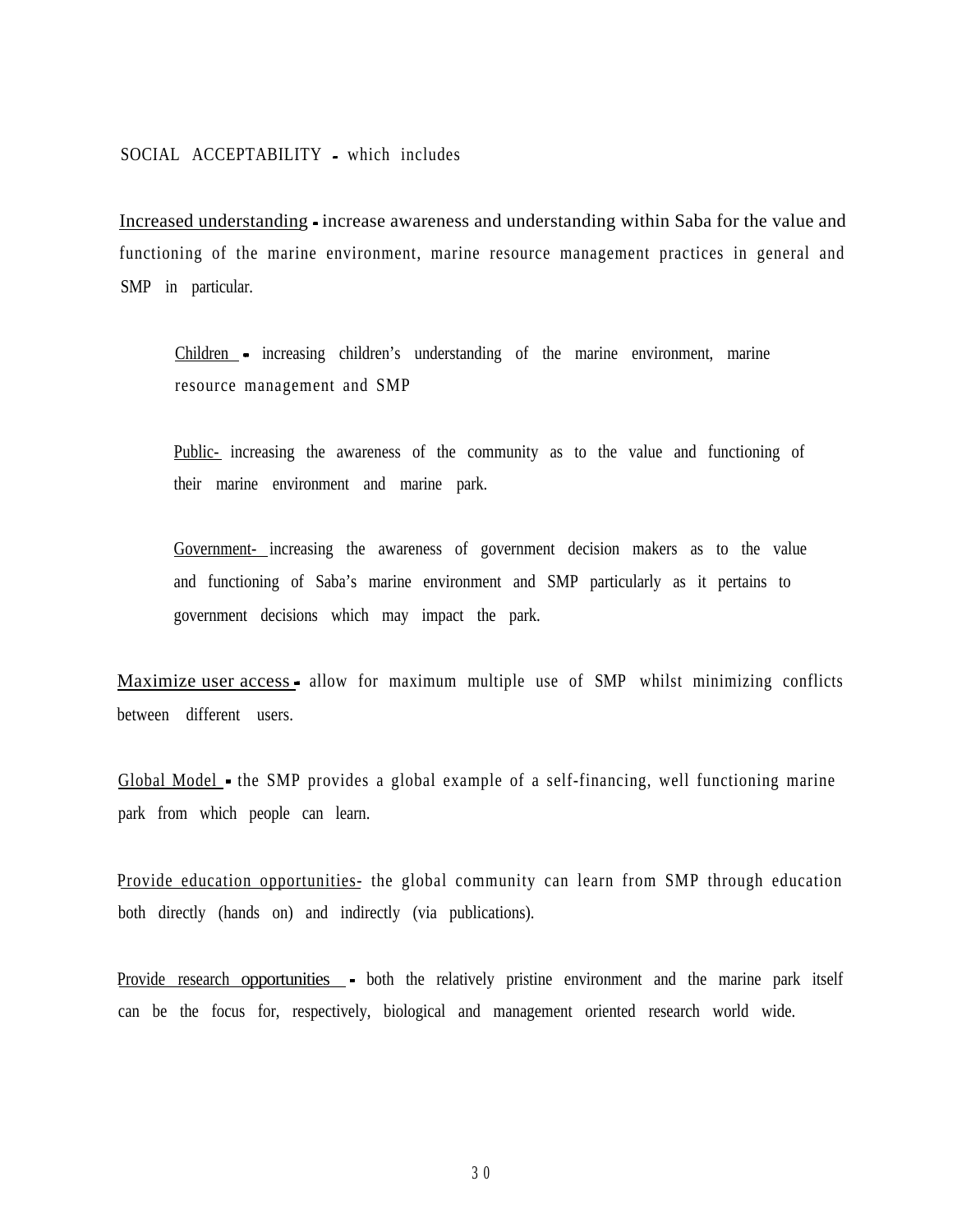Increased understanding - increase awareness and understanding within Saba for the value and functioning of the marine environment, marine resource management practices in general and SMP in particular.

Children - increasing children's understanding of the marine environment, marine resource management and SMP

Public- increasing the awareness of the community as to the value and functioning of their marine environment and marine park.

Government- increasing the awareness of government decision makers as to the value and functioning of Saba's marine environment and SMP particularly as it pertains to government decisions which may impact the park.

Maximize user access - allow for maximum multiple use of SMP whilst minimizing conflicts between different users.

Global Model - the SMP provides a global example of a self-financing, well functioning marine park from which people can learn.

Provide education opportunities- the global community can learn from SMP through education both directly (hands on) and indirectly (via publications).

Provide research opportunities - both the relatively pristine environment and the marine park itself can be the focus for, respectively, biological and management oriented research world wide.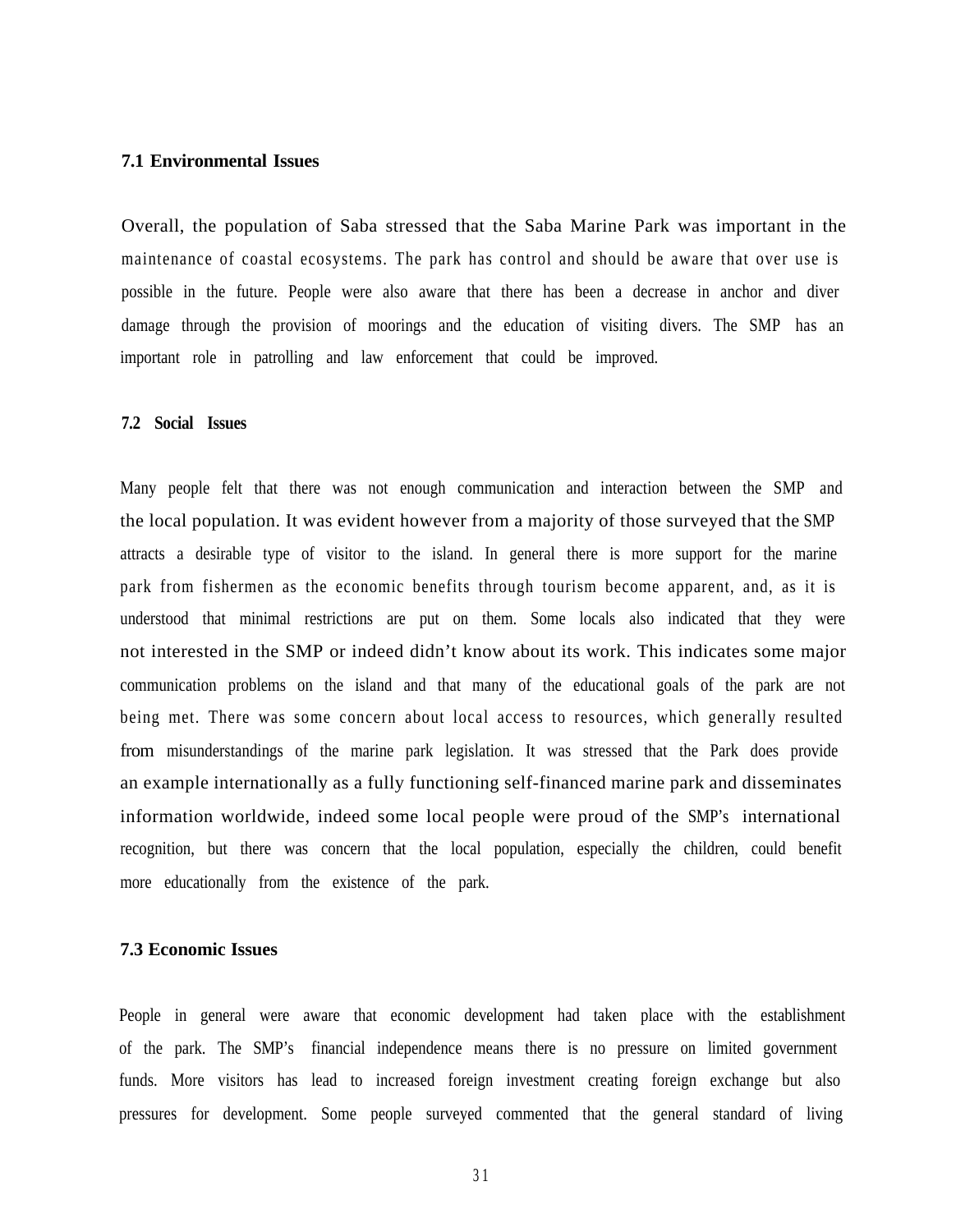#### **7.1 Environmental Issues**

Overall, the population of Saba stressed that the Saba Marine Park was important in the maintenance of coastal ecosystems. The park has control and should be aware that over use is possible in the future. People were also aware that there has been a decrease in anchor and diver damage through the provision of moorings and the education of visiting divers. The SMP has an important role in patrolling and law enforcement that could be improved.

#### **7.2 Social Issues**

Many people felt that there was not enough communication and interaction between the SMP and the local population. It was evident however from a majority of those surveyed that the SMP attracts a desirable type of visitor to the island. In general there is more support for the marine park from fishermen as the economic benefits through tourism become apparent, and, as it is understood that minimal restrictions are put on them. Some locals also indicated that they were not interested in the SMP or indeed didn't know about its work. This indicates some major communication problems on the island and that many of the educational goals of the park are not being met. There was some concern about local access to resources, which generally resulted from misunderstandings of the marine park legislation. It was stressed that the Park does provide an example internationally as a fully functioning self-financed marine park and disseminates information worldwide, indeed some local people were proud of the SMP's international recognition, but there was concern that the local population, especially the children, could benefit more educationally from the existence of the park.

#### **7.3 Economic Issues**

People in general were aware that economic development had taken place with the establishment of the park. The SMP's financial independence means there is no pressure on limited government funds. More visitors has lead to increased foreign investment creating foreign exchange but also pressures for development. Some people surveyed commented that the general standard of living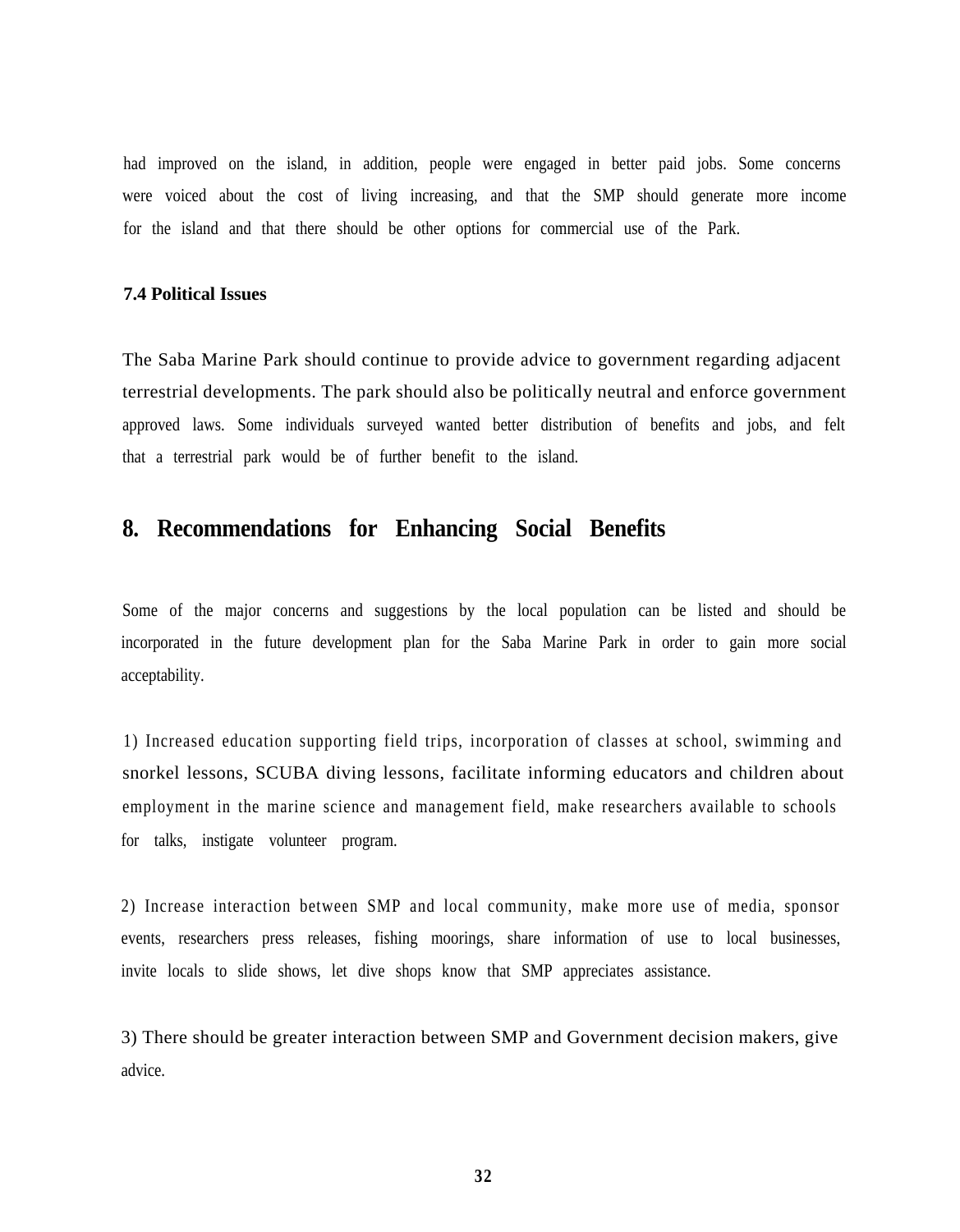had improved on the island, in addition, people were engaged in better paid jobs. Some concerns were voiced about the cost of living increasing, and that the SMP should generate more income for the island and that there should be other options for commercial use of the Park.

#### **7.4 Political Issues**

The Saba Marine Park should continue to provide advice to government regarding adjacent terrestrial developments. The park should also be politically neutral and enforce government approved laws. Some individuals surveyed wanted better distribution of benefits and jobs, and felt that a terrestrial park would be of further benefit to the island.

# **8. Recommendations for Enhancing Social Benefits**

Some of the major concerns and suggestions by the local population can be listed and should be incorporated in the future development plan for the Saba Marine Park in order to gain more social acceptability.

1) Increased education supporting field trips, incorporation of classes at school, swimming and snorkel lessons, SCUBA diving lessons, facilitate informing educators and children about employment in the marine science and management field, make researchers available to schools for talks, instigate volunteer program.

2) Increase interaction between SMP and local community, make more use of media, sponsor events, researchers press releases, fishing moorings, share information of use to local businesses, invite locals to slide shows, let dive shops know that SMP appreciates assistance.

3) There should be greater interaction between SMP and Government decision makers, give advice.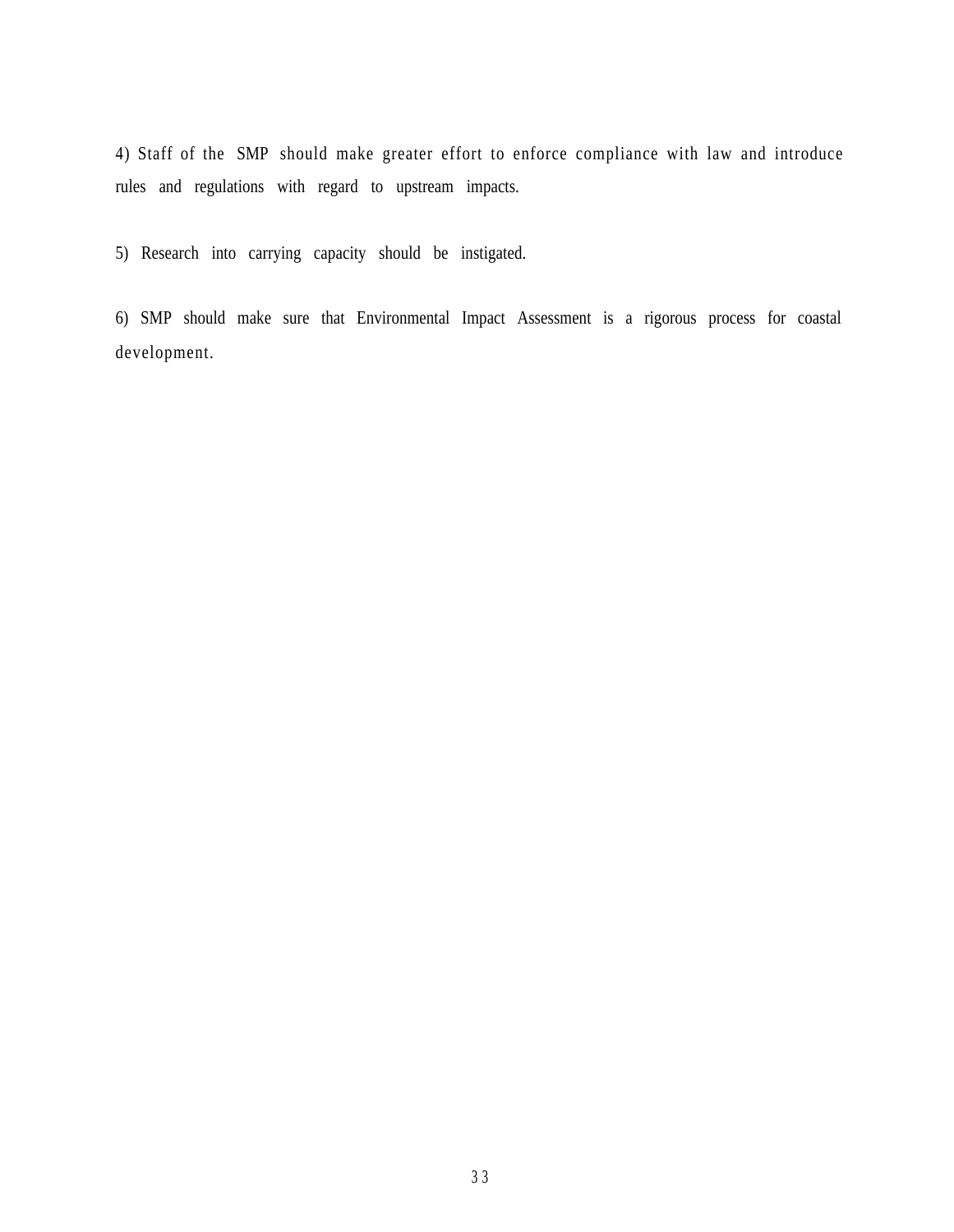4) Staff of the SMP should make greater effort to enforce compliance with law and introduce rules and regulations with regard to upstream impacts.

5) Research into carrying capacity should be instigated.

6) SMP should make sure that Environmental Impact Assessment is a rigorous process for coastal development.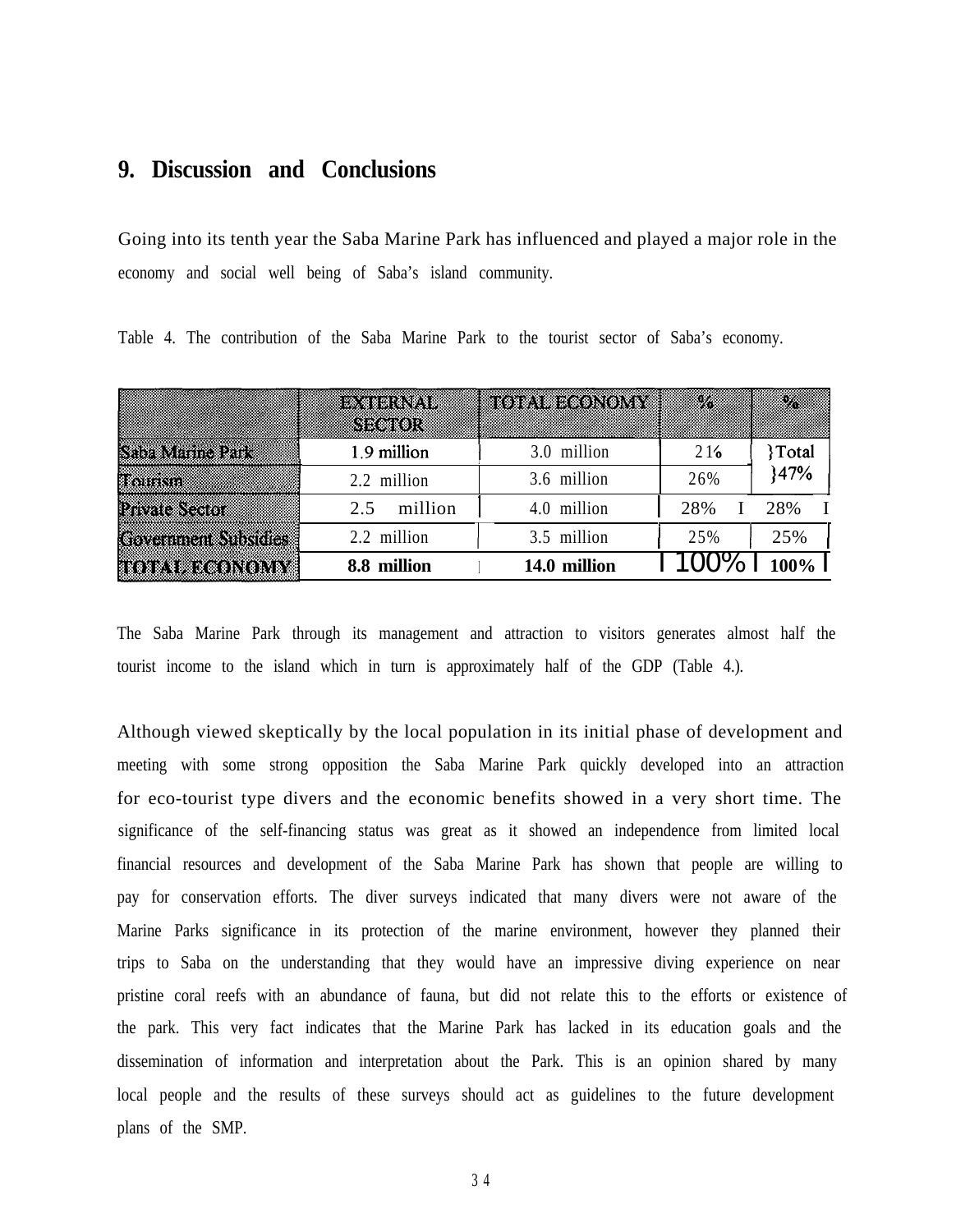### **9. Discussion and Conclusions**

Going into its tenth year the Saba Marine Park has influenced and played a major role in the economy and social well being of Saba's island community.

|                             | Raha (Pro<br>SK#K0)I | to primeronont | Ø.  | X            |
|-----------------------------|----------------------|----------------|-----|--------------|
| <b>Siliz Manne Park</b>     | 1.9 million          | 3.0 million    | 216 | <b>Total</b> |
| <b>Tours</b>                | 2.2 million          | 3.6 million    | 26% | 147%         |
| <b>Provission</b>           | million<br>2.5       | 4.0 million    | 28% | 28%          |
| <b>Covertment Subsidies</b> | 2.2 million          | 3.5 million    | 25% | 25%          |
| <b>TOTAL ECONOMY</b>        | 8.8 million          | 14.0 million   |     |              |

Table 4. The contribution of the Saba Marine Park to the tourist sector of Saba's economy.

The Saba Marine Park through its management and attraction to visitors generates almost half the tourist income to the island which in turn is approximately half of the GDP (Table 4.).

Although viewed skeptically by the local population in its initial phase of development and meeting with some strong opposition the Saba Marine Park quickly developed into an attraction for eco-tourist type divers and the economic benefits showed in a very short time. The significance of the self-financing status was great as it showed an independence from limited local financial resources and development of the Saba Marine Park has shown that people are willing to pay for conservation efforts. The diver surveys indicated that many divers were not aware of the Marine Parks significance in its protection of the marine environment, however they planned their trips to Saba on the understanding that they would have an impressive diving experience on near pristine coral reefs with an abundance of fauna, but did not relate this to the efforts or existence of the park. This very fact indicates that the Marine Park has lacked in its education goals and the dissemination of information and interpretation about the Park. This is an opinion shared by many local people and the results of these surveys should act as guidelines to the future development plans of the SMP.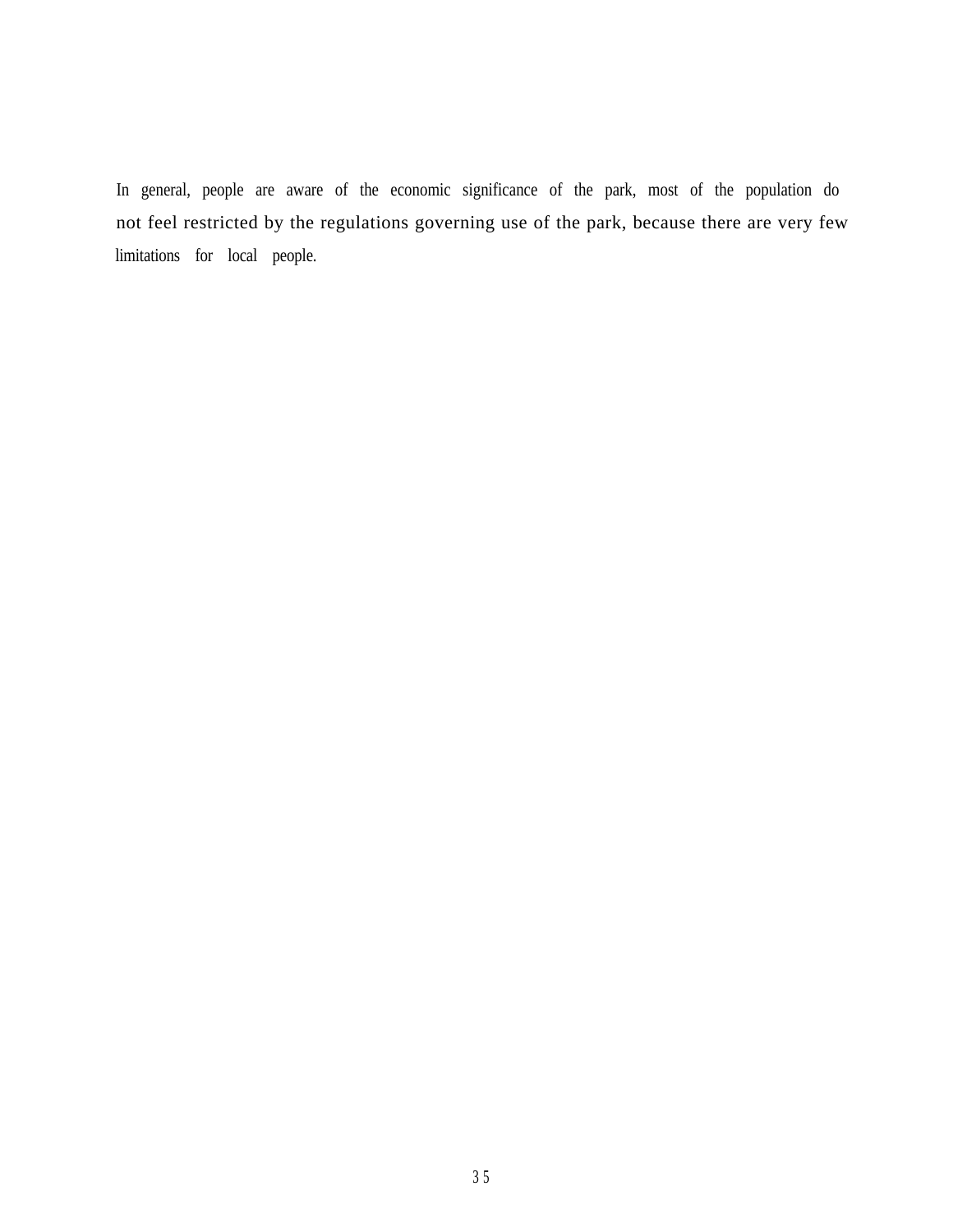In general, people are aware of the economic significance of the park, most of the population do not feel restricted by the regulations governing use of the park, because there are very few limitations for local people.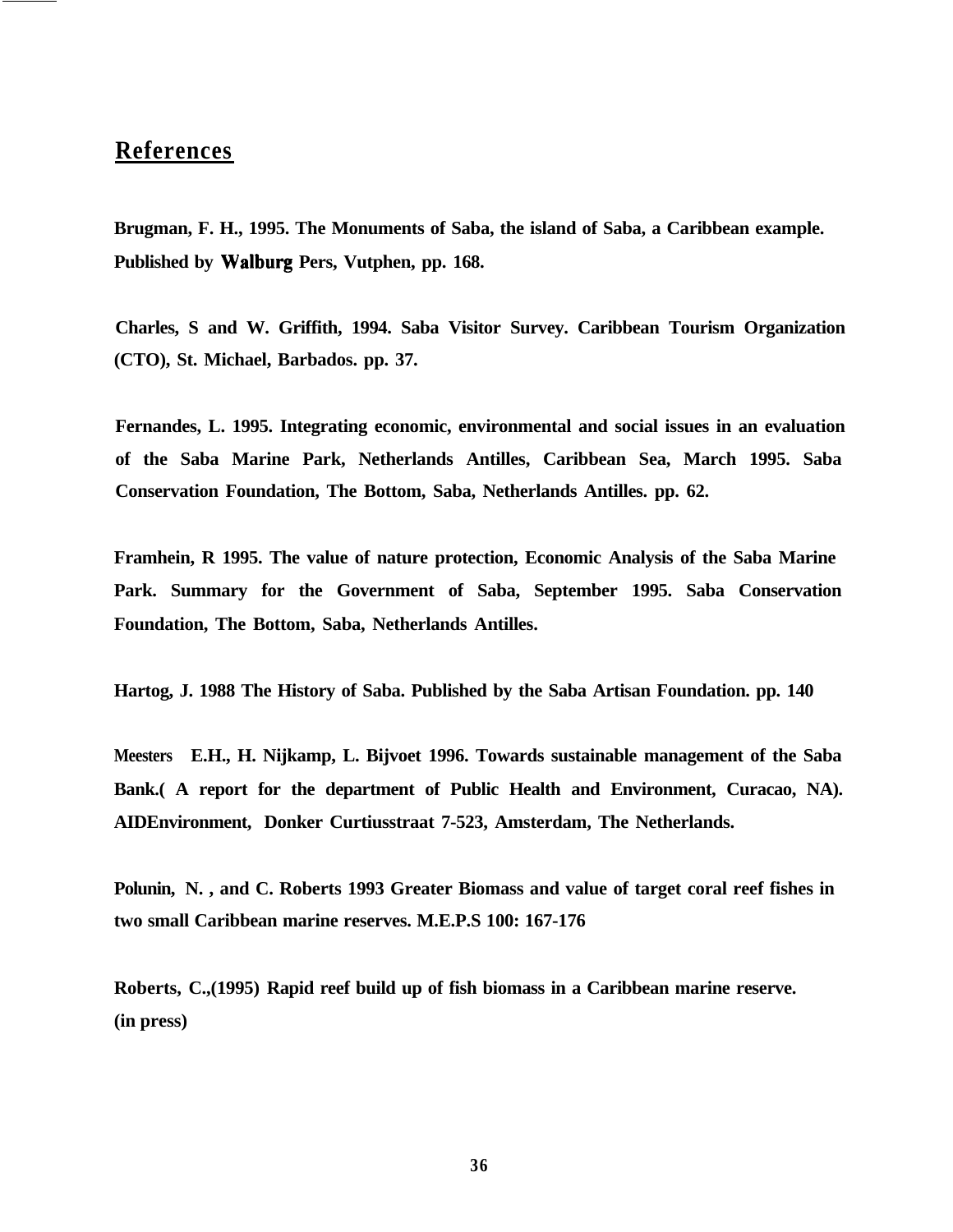# **References**

**Brugman, F. H., 1995. The Monuments of Saba, the island of Saba, a Caribbean example. Published by Walburg Pers, Vutphen, pp. 168.**

**Charles, S and W. Griffith, 1994. Saba Visitor Survey. Caribbean Tourism Organization (CTO), St. Michael, Barbados. pp. 37.**

**Fernandes, L. 1995. Integrating economic, environmental and social issues in an evaluation of the Saba Marine Park, Netherlands Antilles, Caribbean Sea, March 1995. Saba Conservation Foundation, The Bottom, Saba, Netherlands Antilles. pp. 62.**

**Framhein, R 1995. The value of nature protection, Economic Analysis of the Saba Marine Park. Summary for the Government of Saba, September 1995. Saba Conservation Foundation, The Bottom, Saba, Netherlands Antilles.**

**Hartog, J. 1988 The History of Saba. Published by the Saba Artisan Foundation. pp. 140**

**Meesters E.H., H. Nijkamp, L. Bijvoet 1996. Towards sustainable management of the Saba Bank.( A report for the department of Public Health and Environment, Curacao, NA). AIDEnvironment, Donker Curtiusstraat 7-523, Amsterdam, The Netherlands.**

**Polunin, N. , and C. Roberts 1993 Greater Biomass and value of target coral reef fishes in two small Caribbean marine reserves. M.E.P.S 100: 167-176**

**Roberts, C.,(1995) Rapid reef build up of fish biomass in a Caribbean marine reserve. (in press)**